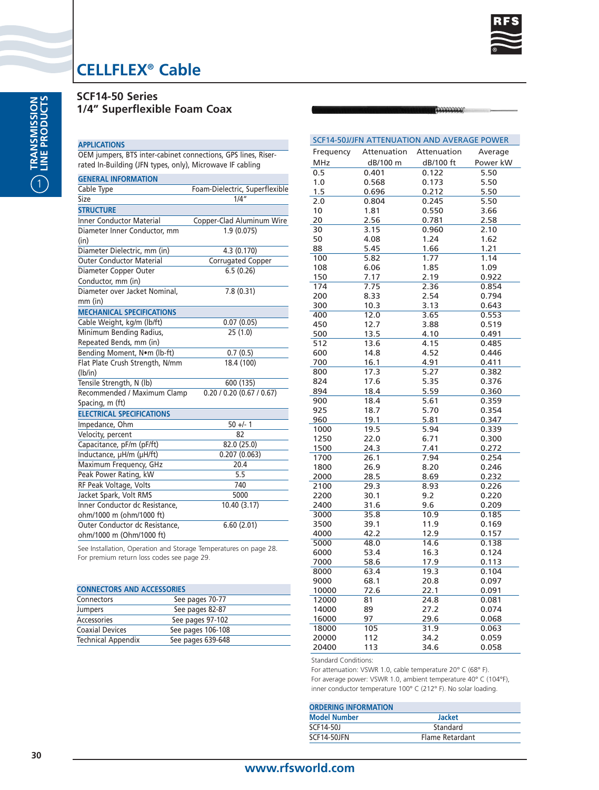

AMMONIO

# **CELLFLEX® Cable**

| <b>SCF14-50 Series</b> |                              |  |
|------------------------|------------------------------|--|
|                        | 1/4" Superflexible Foam Coax |  |

#### **APPLICATIONS**

OEM jumpers, BTS inter-cabinet connections, GPS lines, Riserrated In-Building (JFN types, only), Microwave IF cabling

| <b>GENERAL INFORMATION</b>       |                                |
|----------------------------------|--------------------------------|
| Cable Type                       | Foam-Dielectric, Superflexible |
| Size                             | $1/\overline{4''}$             |
| <b>STRUCTURE</b>                 |                                |
| <b>Inner Conductor Material</b>  | Copper-Clad Aluminum Wire      |
| Diameter Inner Conductor, mm     | 1.9(0.075)                     |
| (in)                             |                                |
| Diameter Dielectric, mm (in)     | 4.3 (0.170)                    |
| <b>Outer Conductor Material</b>  | Corrugated Copper              |
| Diameter Copper Outer            | 6.5(0.26)                      |
| Conductor, mm (in)               |                                |
| Diameter over Jacket Nominal,    | 7.8(0.31)                      |
| $mm$ (in)                        |                                |
| <b>MECHANICAL SPECIFICATIONS</b> |                                |
| Cable Weight, kg/m (lb/ft)       | 0.07(0.05)                     |
| Minimum Bending Radius,          | 25(1.0)                        |
| Repeated Bends, mm (in)          |                                |
| Bending Moment, Nom (lb-ft)      | 0.7(0.5)                       |
| Flat Plate Crush Strength, N/mm  | 18.4 (100)                     |
| (lb/in)                          |                                |
| Tensile Strength, N (lb)         | 600 (135)                      |
| Recommended / Maximum Clamp      | 0.20 / 0.20 (0.67 / 0.67)      |
| Spacing, m (ft)                  |                                |
| <b>ELECTRICAL SPECIFICATIONS</b> |                                |
| Impedance, Ohm                   | $50 +/- 1$                     |
| Velocity, percent                | 82                             |
| Capacitance, pF/m (pF/ft)        | 82.0 (25.0)                    |
| Inductance, µH/m (µH/ft)         | 0.207(0.063)                   |
| Maximum Frequency, GHz           | 20.4                           |
| Peak Power Rating, kW            | 5.5                            |
| RF Peak Voltage, Volts           | 740                            |
| Jacket Spark, Volt RMS           | 5000                           |
| Inner Conductor dc Resistance,   | 10.40(3.17)                    |
| ohm/1000 m (ohm/1000 ft)         |                                |
| Outer Conductor dc Resistance,   | 6.60(2.01)                     |
| ohm/1000 m (Ohm/1000 ft)         |                                |

See Installation, Operation and Storage Temperatures on page 28. For premium return loss codes see page 29.

| <b>CONNECTORS AND ACCESSORIES</b> |  |  |  |  |
|-----------------------------------|--|--|--|--|
| See pages 70-77                   |  |  |  |  |
| See pages 82-87                   |  |  |  |  |
| See pages 97-102                  |  |  |  |  |
| See pages 106-108                 |  |  |  |  |
| See pages 639-648                 |  |  |  |  |
|                                   |  |  |  |  |

|              |                 | SCF14-50J/JFN ATTENUATION AND AVERAGE POWER |                |
|--------------|-----------------|---------------------------------------------|----------------|
| Frequency    | Attenuation     | Attenuation                                 | Average        |
| <b>MHz</b>   | dB/100 m        | dB/100 ft                                   | Power kW       |
| 0.5          | 0.401           | 0.122                                       | 5.50           |
| 1.0          | 0.568           | 0.173                                       | 5.50           |
| 1.5          | 0.696           | 0.212                                       | 5.50           |
| 2.0          | 0.804           | 0.245                                       | 5.50           |
| 10           | 1.81            | 0.550                                       | 3.66           |
| 20           | 2.56            | 0.781                                       | 2.58           |
| 30           | 3.15            | 0.960                                       | 2.10           |
| 50           | 4.08            | 1.24                                        | 1.62           |
| 88           | 5.45            | 1.66                                        | 1.21           |
| 100          | 5.82            | 1.77                                        | 1.14           |
| 108          | 6.06            | 1.85                                        | 1.09           |
| 150          | 7.17            | 2.19                                        | 0.922          |
| 174          | 7.75            | 2.36                                        | 0.854          |
| 200          | 8.33            | 2.54                                        | 0.794          |
| 300          | 10.3            | 3.13                                        | 0.643          |
| 400          | 12.0            | 3.65                                        | 0.553          |
| 450          | 12.7            | 3.88                                        | 0.519          |
| 500          | 13.5            | 4.10                                        | 0.491          |
| 512          | 13.6            | 4.15                                        | 0.485          |
| 600          | 14.8            | 4.52                                        | 0.446          |
| 700          | 16.1            | 4.91                                        | 0.411          |
| 800          | 17.3            | 5.27                                        | 0.382          |
| 824          | 17.6            | 5.35                                        | 0.376          |
| 894          | 18.4            | 5.59                                        | 0.360          |
| 900          | 18.4            | 5.61                                        | 0.359          |
| 925          | 18.7            | 5.70                                        | 0.354          |
| 960          | 19.1            | 5.81                                        | 0.347          |
| 1000         | 19.5            | 5.94                                        | 0.339          |
| 1250         | 22.0            | 6.71                                        | 0.300          |
| 1500         | 24.3            | 7.41                                        | 0.272          |
| 1700         | 26.1            | 7.94                                        | 0.254          |
| 1800         | 26.9            | 8.20                                        | 0.246          |
| 2000         | 28.5            | 8.69                                        | 0.232          |
| 2100         | 29.3            | 8.93                                        | 0.226          |
| 2200         | 30.1            | 9.2                                         | 0.220          |
| 2400         | 31.6<br>35.8    | 9.6                                         | 0.209<br>0.185 |
| 3000         |                 | 10.9                                        |                |
| 3500         | 39.1<br>42.2    | 11.9                                        | 0.169          |
| 4000<br>5000 | 48.0            | 12.9<br>14.6                                | 0.157<br>0.138 |
| 6000         | 53.4            | 16.3                                        | 0.124          |
| 7000         | 58.6            | 17.9                                        | 0.113          |
| 8000         | 63.4            | 19.3                                        | 0.104          |
| 9000         | 68.1            | 20.8                                        | 0.097          |
| 10000        | 72.6            | 22.1                                        | 0.091          |
| 12000        | $\overline{81}$ | 24.8                                        | 0.081          |
| 14000        | 89              | 27.2                                        | 0.074          |
| 16000        | 97              | 29.6                                        | 0.068          |
| 18000        | 105             | 31.9                                        | 0.063          |
| 20000        | 112             | 34.2                                        | 0.059          |
| 20400        | 113             | 34.6                                        | 0.058          |
|              |                 |                                             |                |

Standard Conditions:

| <b>ORDERING INFORMATION</b> |                 |  |  |
|-----------------------------|-----------------|--|--|
| <b>Model Number</b>         | <b>Jacket</b>   |  |  |
| SCF14-501                   | Standard        |  |  |
| SCF14-50JFN                 | Flame Retardant |  |  |
|                             |                 |  |  |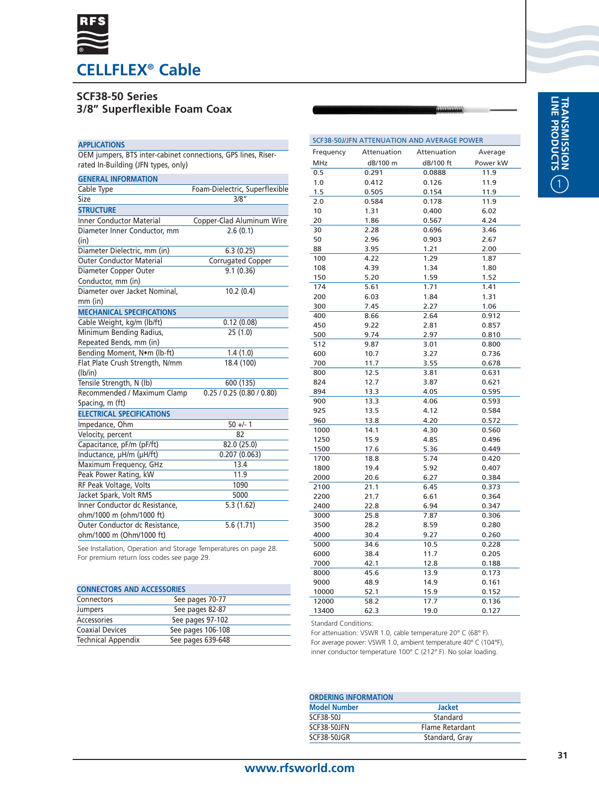

# **SCF38-50 Series**

# **3/8" Superflexible Foam Coax**

#### **APPLICATIONS**

OEM jumpers, BTS inter-cabinet connections, GPS lines, Riserrated In-Building (JFN types, only)

| <b>GENERAL INFORMATION</b>       |                                |
|----------------------------------|--------------------------------|
| Cable Type                       | Foam-Dielectric, Superflexible |
| Size                             | 3/8''                          |
| <b>STRUCTURE</b>                 |                                |
| <b>Inner Conductor Material</b>  | Copper-Clad Aluminum Wire      |
| Diameter Inner Conductor, mm     | 2.6(0.1)                       |
| (in)                             |                                |
| Diameter Dielectric, mm (in)     | 6.3(0.25)                      |
| <b>Outer Conductor Material</b>  | Corrugated Copper              |
| Diameter Copper Outer            | 9.1(0.36)                      |
| Conductor, mm (in)               |                                |
| Diameter over Jacket Nominal,    | 10.2(0.4)                      |
| $mm$ (in)                        |                                |
| <b>MECHANICAL SPECIFICATIONS</b> |                                |
| Cable Weight, kg/m (lb/ft)       | 0.12(0.08)                     |
| Minimum Bending Radius,          | 25(1.0)                        |
| Repeated Bends, mm (in)          |                                |
| Bending Moment, Nom (lb-ft)      | 1.4(1.0)                       |
| Flat Plate Crush Strength, N/mm  | 18.4 (100)                     |
| (lb/in)                          |                                |
| Tensile Strength, N (lb)         | 600 (135)                      |
| Recommended / Maximum Clamp      | 0.25 / 0.25 (0.80 / 0.80)      |
| Spacing, m (ft)                  |                                |
| <b>ELECTRICAL SPECIFICATIONS</b> |                                |
| Impedance, Ohm                   | $50 +/- 1$                     |
| Velocity, percent                | 82                             |
| Capacitance, pF/m (pF/ft)        | 82.0 (25.0)                    |
| Inductance, µH/m (µH/ft)         | 0.207(0.063)                   |
| Maximum Frequency, GHz           | 13.4                           |
| Peak Power Rating, kW            | 11.9                           |
| RF Peak Voltage, Volts           | 1090                           |
| Jacket Spark, Volt RMS           | 5000                           |
| Inner Conductor dc Resistance,   | 5.3(1.62)                      |
| ohm/1000 m (ohm/1000 ft)         |                                |
| Outer Conductor dc Resistance.   | 5.6(1.71)                      |
| ohm/1000 m (Ohm/1000 ft)         |                                |

See Installation, Operation and Storage Temperatures on page 28. For premium return loss codes see page 29.

| <b>CONNECTORS AND ACCESSORIES</b> |  |  |  |  |
|-----------------------------------|--|--|--|--|
| See pages 70-77                   |  |  |  |  |
| See pages 82-87                   |  |  |  |  |
| See pages 97-102                  |  |  |  |  |
| See pages 106-108                 |  |  |  |  |
| See pages 639-648                 |  |  |  |  |
|                                   |  |  |  |  |

| SCF38-50J/JFN ATTENUATION AND AVERAGE POWER |             |             |          |
|---------------------------------------------|-------------|-------------|----------|
| Frequency                                   | Attenuation | Attenuation | Average  |
| <b>MHz</b>                                  | dB/100 m    | dB/100 ft   | Power kW |
| 0.5                                         | 0.291       | 0.0888      | 11.9     |
| 1.0                                         | 0.412       | 0.126       | 11.9     |
| 1.5                                         | 0.505       | 0.154       | 11.9     |
| 2.0                                         | 0.584       | 0.178       | 11.9     |
| 10                                          | 1.31        | 0.400       | 6.02     |
| 20                                          | 1.86        | 0.567       | 4.24     |
| 30                                          | 2.28        | 0.696       | 3.46     |
| 50                                          | 2.96        | 0.903       | 2.67     |
| 88                                          | 3.95        | 1.21        | 2.00     |
| 100                                         | 4.22        | 1.29        | 1.87     |
| 108                                         | 4.39        | 1.34        | 1.80     |
| 150                                         | 5.20        | 1.59        | 1.52     |
| 174                                         | 5.61        | 1.71        | 1.41     |
| 200                                         | 6.03        | 1.84        | 1.31     |
| 300                                         | 7.45        | 2.27        | 1.06     |
| 400                                         | 8.66        | 2.64        | 0.912    |
| 450                                         | 9.22        | 2.81        | 0.857    |
| 500                                         | 9.74        | 2.97        | 0.810    |
| 512                                         | 9.87        | 3.01        | 0.800    |
| 600                                         | 10.7        | 3.27        | 0.736    |
| 700                                         | 11.7        | 3.55        | 0.678    |
| 800                                         | 12.5        | 3.81        | 0.631    |
| 824                                         | 12.7        | 3.87        | 0.621    |
| 894                                         | 13.3        | 4.05        | 0.595    |
| 900                                         | 13.3        | 4.06        | 0.593    |
| 925                                         | 13.5        | 4.12        | 0.584    |
| 960                                         | 13.8        | 4.20        | 0.572    |
| 1000                                        | 14.1        | 4.30        | 0.560    |
| 1250                                        | 15.9        | 4.85        | 0.496    |
| 1500                                        | 17.6        | 5.36        | 0.449    |
| 1700                                        | 18.8        | 5.74        | 0.420    |
| 1800                                        | 19.4        | 5.92        | 0.407    |
| 2000                                        | 20.6        | 6.27        | 0.384    |
| 2100                                        | 21.1        | 6.45        | 0.373    |
| 2200                                        | 21.7        | 6.61        | 0.364    |
| 2400                                        | 22.8        | 6.94        | 0.347    |
| 3000                                        | 25.8        | 7.87        | 0.306    |
| 3500                                        | 28.2        | 8.59        | 0.280    |
| 4000                                        | 30.4        | 9.27        | 0.260    |
| 5000                                        | 34.6        | 10.5        | 0.228    |
| 6000                                        | 38.4        | 11.7        | 0.205    |
| 7000                                        | 42.1        | 12.8        | 0.188    |
| 8000                                        | 45.6        | 13.9        | 0.173    |
| 9000                                        | 48.9        | 14.9        | 0.161    |
| 10000                                       | 52.1        | 15.9        | 0.152    |
| 12000                                       | 58.2        | 17.7        | 0.136    |
| 13400                                       | 62.3        | 19.0        | 0.127    |

Standard Conditions:

| <b>ORDERING INFORMATION</b> |                 |  |  |  |
|-----------------------------|-----------------|--|--|--|
| <b>Model Number</b>         | <b>Jacket</b>   |  |  |  |
| SCF38-50J                   | Standard        |  |  |  |
| SCF38-50JFN                 | Flame Retardant |  |  |  |
| SCF38-50JGR                 | Standard, Gray  |  |  |  |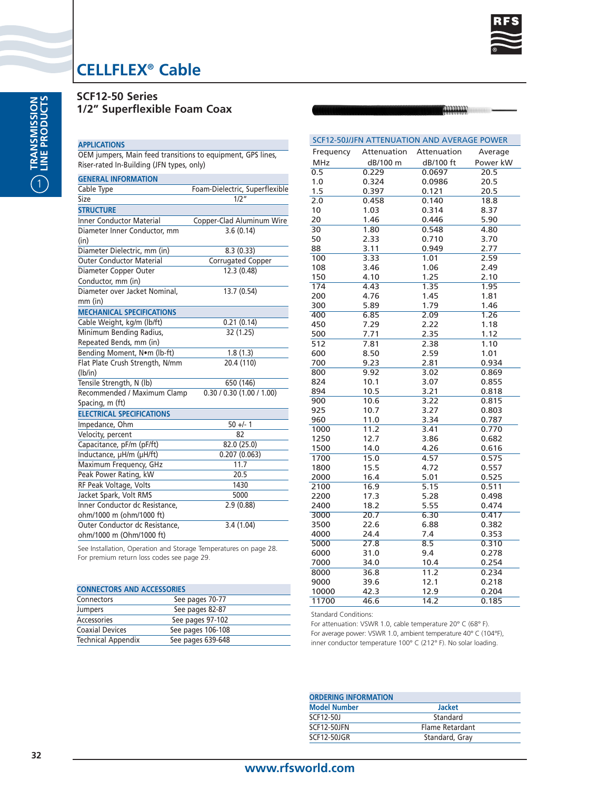

**ANNANN** 

# **CELLFLEX® Cable**

|  | <b>SCF12-50 Series</b>       |  |
|--|------------------------------|--|
|  | 1/2" Superflexible Foam Coax |  |

#### **APPLICATIONS**

OEM jumpers, Main feed transitions to equipment, GPS lines, Riser-rated In-Building (JFN types, only)

| <b>GENERAL INFORMATION</b>       |                                |
|----------------------------------|--------------------------------|
| Cable Type                       | Foam-Dielectric, Superflexible |
| Size                             | 1/2"                           |
| <b>STRUCTURE</b>                 |                                |
| <b>Inner Conductor Material</b>  | Copper-Clad Aluminum Wire      |
| Diameter Inner Conductor, mm     | 3.6(0.14)                      |
| (in)                             |                                |
| Diameter Dielectric, mm (in)     | 8.3(0.33)                      |
| <b>Outer Conductor Material</b>  | Corrugated Copper              |
| Diameter Copper Outer            | 12.3 (0.48)                    |
| Conductor, mm (in)               |                                |
| Diameter over Jacket Nominal,    | 13.7 (0.54)                    |
| mm (in)                          |                                |
| <b>MECHANICAL SPECIFICATIONS</b> |                                |
| Cable Weight, kg/m (lb/ft)       | 0.21(0.14)                     |
| Minimum Bending Radius,          | 32 (1.25)                      |
| Repeated Bends, mm (in)          |                                |
| Bending Moment, Nom (lb-ft)      | 1.8(1.3)                       |
| Flat Plate Crush Strength, N/mm  | 20.4 (110)                     |
| (lb/in)                          |                                |
| Tensile Strength, N (lb)         | 650 (146)                      |
| Recommended / Maximum Clamp      | 0.30 / 0.30 (1.00 / 1.00)      |
| Spacing, m (ft)                  |                                |
| <b>ELECTRICAL SPECIFICATIONS</b> |                                |
| Impedance, Ohm                   | $50 +/- 1$                     |
| Velocity, percent                | 82                             |
| Capacitance, pF/m (pF/ft)        | 82.0 (25.0)                    |
| Inductance, µH/m (µH/ft)         | 0.207(0.063)                   |
| Maximum Frequency, GHz           | 11.7                           |
| Peak Power Rating, kW            | 20.5                           |
| RF Peak Voltage, Volts           | 1430                           |
| Jacket Spark, Volt RMS           | 5000                           |
| Inner Conductor dc Resistance,   | 2.9(0.88)                      |
| ohm/1000 m (ohm/1000 ft)         |                                |
| Outer Conductor dc Resistance,   | 3.4(1.04)                      |
| ohm/1000 m (Ohm/1000 ft)         |                                |

See Installation, Operation and Storage Temperatures on page 28. For premium return loss codes see page 29.

| <b>CONNECTORS AND ACCESSORIES</b> |                   |  |  |  |
|-----------------------------------|-------------------|--|--|--|
| Connectors                        | See pages 70-77   |  |  |  |
| Jumpers                           | See pages 82-87   |  |  |  |
| Accessories                       | See pages 97-102  |  |  |  |
| <b>Coaxial Devices</b>            | See pages 106-108 |  |  |  |
| <b>Technical Appendix</b>         | See pages 639-648 |  |  |  |

| SCF12-50J/JFN ATTENUATION AND AVERAGE POWER |             |             |          |  |
|---------------------------------------------|-------------|-------------|----------|--|
| Frequency                                   | Attenuation | Attenuation | Average  |  |
| <b>MHz</b>                                  | dB/100 m    | dB/100 ft   | Power kW |  |
| 0.5                                         | 0.229       | 0.0697      | 20.5     |  |
| 1.0                                         | 0.324       | 0.0986      | 20.5     |  |
| 1.5                                         | 0.397       | 0.121       | 20.5     |  |
| 2.0                                         | 0.458       | 0.140       | 18.8     |  |
| 10                                          | 1.03        | 0.314       | 8.37     |  |
| 20                                          | 1.46        | 0.446       | 5.90     |  |
| 30                                          | 1.80        | 0.548       | 4.80     |  |
| 50                                          | 2.33        | 0.710       | 3.70     |  |
| 88                                          | 3.11        | 0.949       | 2.77     |  |
| 100                                         | 3.33        | 1.01        | 2.59     |  |
| 108                                         | 3.46        | 1.06        | 2.49     |  |
| 150                                         | 4.10        | 1.25        | 2.10     |  |
| 174                                         | 4.43        | 1.35        | 1.95     |  |
| 200                                         | 4.76        | 1.45        | 1.81     |  |
| 300                                         | 5.89        | 1.79        | 1.46     |  |
| 400                                         | 6.85        | 2.09        | 1.26     |  |
| 450                                         | 7.29        | 2.22        | 1.18     |  |
| 500                                         | 7.71        | 2.35        | 1.12     |  |
| 512                                         | 7.81        | 2.38        | 1.10     |  |
| 600                                         | 8.50        | 2.59        | 1.01     |  |
| 700                                         | 9.23        | 2.81        | 0.934    |  |
| 800                                         | 9.92        | 3.02        | 0.869    |  |
| 824                                         | 10.1        | 3.07        | 0.855    |  |
| 894                                         | 10.5        | 3.21        | 0.818    |  |
| 900                                         | 10.6        | 3.22        | 0.815    |  |
| 925                                         | 10.7        | 3.27        | 0.803    |  |
| 960                                         | 11.0        | 3.34        | 0.787    |  |
| 1000                                        | 11.2        | 3.41        | 0.770    |  |
| 1250                                        | 12.7        | 3.86        | 0.682    |  |
| 1500                                        | 14.0        | 4.26        | 0.616    |  |
| 1700                                        | 15.0        | 4.57        | 0.575    |  |
| 1800                                        | 15.5        | 4.72        | 0.557    |  |
| 2000                                        | 16.4        | 5.01        | 0.525    |  |
| 2100                                        | 16.9        | 5.15        | 0.511    |  |
| 2200                                        | 17.3        | 5.28        | 0.498    |  |
| 2400                                        | 18.2        | 5.55        | 0.474    |  |
| 3000                                        | 20.7        | 6.30        | 0.417    |  |
| 3500                                        | 22.6        | 6.88        | 0.382    |  |
| 4000                                        | 24.4        | 7.4         | 0.353    |  |
| 5000                                        | 27.8        | 8.5         | 0.310    |  |
| 6000                                        | 31.0        | 9.4         | 0.278    |  |
| 7000                                        | 34.0        | 10.4        | 0.254    |  |
| 8000                                        | 36.8        | 11.2        | 0.234    |  |
| 9000                                        | 39.6        | 12.1        | 0.218    |  |
| 10000                                       | 42.3        | 12.9        | 0.204    |  |
| 11700                                       | 46.6        | 14.2        | 0.185    |  |

Standard Conditions:

| <b>ORDERING INFORMATION</b> |                 |  |
|-----------------------------|-----------------|--|
| <b>Model Number</b>         | <b>Jacket</b>   |  |
| SCF12-50J                   | Standard        |  |
| SCF12-50JFN                 | Flame Retardant |  |
| SCF12-50JGR                 | Standard, Gray  |  |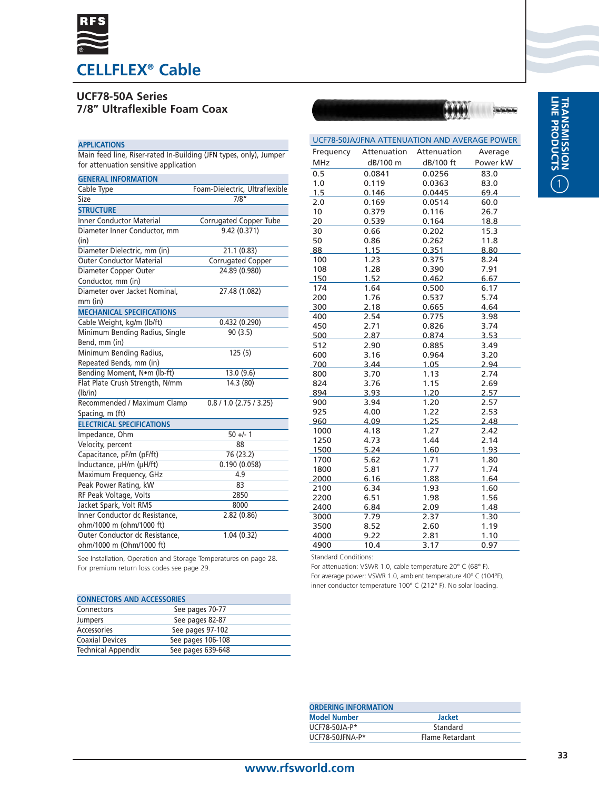

# **UCF78-50A Series 7/8" Ultraflexible Foam Coax**

### **APPLICATIONS**

Main feed line, Riser-rated In-Building (JFN types, only), Jumper for attenuation sensitive application

| <b>GENERAL INFORMATION</b>       |                                |
|----------------------------------|--------------------------------|
| Cable Type                       | Foam-Dielectric, Ultraflexible |
| Size                             | 7/8″                           |
| <b>STRUCTURE</b>                 |                                |
| <b>Inner Conductor Material</b>  | Corrugated Copper Tube         |
| Diameter Inner Conductor, mm     | 9.42 (0.371)                   |
| (in)                             |                                |
| Diameter Dielectric, mm (in)     | 21.1 (0.83)                    |
| <b>Outer Conductor Material</b>  | <b>Corrugated Copper</b>       |
| Diameter Copper Outer            | 24.89 (0.980)                  |
| Conductor, mm (in)               |                                |
| Diameter over Jacket Nominal,    | 27.48 (1.082)                  |
| $mm$ (in)                        |                                |
| <b>MECHANICAL SPECIFICATIONS</b> |                                |
| Cable Weight, kg/m (lb/ft)       | 0.432(0.290)                   |
| Minimum Bending Radius, Single   | 90 (3.5)                       |
| Bend, mm (in)                    |                                |
| Minimum Bending Radius,          | 125(5)                         |
| Repeated Bends, mm (in)          |                                |
| Bending Moment, Nom (lb-ft)      | 13.0 (9.6)                     |
| Flat Plate Crush Strength, N/mm  | 14.3 (80)                      |
| (lb/in)                          |                                |
| Recommended / Maximum Clamp      | $0.8 / 1.0$ (2.75 / 3.25)      |
| Spacing, m (ft)                  |                                |
| <b>ELECTRICAL SPECIFICATIONS</b> |                                |
| Impedance, Ohm                   | $50 +/- 1$                     |
| Velocity, percent                | 88                             |
| Capacitance, pF/m (pF/ft)        | 76 (23.2)                      |
| Inductance, µH/m (µH/ft)         | 0.190(0.058)                   |
| Maximum Frequency, GHz           | 4.9                            |
| Peak Power Rating, kW            | 83                             |
| RF Peak Voltage, Volts           | 2850                           |
| Jacket Spark, Volt RMS           | 8000                           |
| Inner Conductor dc Resistance,   | 2.82(0.86)                     |
| ohm/1000 m (ohm/1000 ft)         |                                |
| Outer Conductor dc Resistance,   | 1.04(0.32)                     |
| ohm/1000 m (Ohm/1000 ft)         |                                |

| UCF78-50JA/JFNA ATTENUATION AND AVERAGE POWER |              |              |              |  |
|-----------------------------------------------|--------------|--------------|--------------|--|
| Frequency                                     | Attenuation  | Attenuation  | Average      |  |
| <b>MHz</b>                                    | dB/100 m     | dB/100 ft    | Power kW     |  |
| 0.5                                           | 0.0841       | 0.0256       | 83.0         |  |
| 1.0                                           | 0.119        | 0.0363       | 83.0         |  |
| 1.5                                           | 0.146        | 0.0445       | 69.4         |  |
| 2.0                                           | 0.169        | 0.0514       | 60.0         |  |
| 10                                            | 0.379        | 0.116        | 26.7         |  |
| 20                                            | 0.539        | 0.164        | 18.8         |  |
| 30                                            | 0.66         | 0.202        | 15.3         |  |
| 50                                            | 0.86         | 0.262        | 11.8         |  |
| 88                                            | 1.15         | 0.351        | 8.80         |  |
| 100                                           | 1.23         | 0.375        | 8.24         |  |
| 108                                           | 1.28         | 0.390        | 7.91         |  |
| 150                                           | 1.52         | 0.462        | 6.67         |  |
| 174                                           | 1.64         | 0.500        | 6.17         |  |
| 200                                           | 1.76         | 0.537        | 5.74         |  |
| 300                                           | 2.18         | 0.665        | 4.64         |  |
| 400                                           | 2.54         | 0.775        | 3.98         |  |
| 450                                           | 2.71         | 0.826        | 3.74         |  |
| 500                                           | 2.87         | 0.874        | 3.53         |  |
| 512                                           | 2.90         | 0.885        | 3.49         |  |
| 600                                           | 3.16         | 0.964        | 3.20         |  |
| 700                                           | 3.44<br>3.70 | 1.05<br>1.13 | 2.94<br>2.74 |  |
| 800<br>824                                    | 3.76         | 1.15         | 2.69         |  |
| 894                                           | 3.93         | 1.20         | 2.57         |  |
| 900                                           | 3.94         | 1.20         | 2.57         |  |
| 925                                           | 4.00         | 1.22         | 2.53         |  |
| 960                                           | 4.09         | 1.25         | 2.48         |  |
| 1000                                          | 4.18         | 1.27         | 2.42         |  |
| 1250                                          | 4.73         | 1.44         | 2.14         |  |
| 1500                                          | 5.24         | 1.60         | 1.93         |  |
| 1700                                          | 5.62         | 1.71         | 1.80         |  |
| 1800                                          | 5.81         | 1.77         | 1.74         |  |
| 2000                                          | 6.16         | 1.88         | 1.64         |  |
| 2100                                          | 6.34         | 1.93         | 1.60         |  |
| 2200                                          | 6.51         | 1.98         | 1.56         |  |
| 2400                                          | 6.84         | 2.09         | 1.48         |  |
| 3000                                          | 7.79         | 2.37         | 1.30         |  |
| 3500                                          | 8.52         | 2.60         | 1.19         |  |
| 4000                                          | 9.22         | 2.81         | 1.10         |  |
| 4900                                          | 10.4         | 3.17         | 0.97         |  |

See Installation, Operation and Storage Temperatures on page 28. For premium return loss codes see page 29.

| <b>CONNECTORS AND ACCESSORIES</b> |                   |  |  |
|-----------------------------------|-------------------|--|--|
| Connectors                        | See pages 70-77   |  |  |
| <b>Jumpers</b>                    | See pages 82-87   |  |  |
| Accessories                       | See pages 97-102  |  |  |
| <b>Coaxial Devices</b>            | See pages 106-108 |  |  |
| <b>Technical Appendix</b>         | See pages 639-648 |  |  |

| <b>Standard Conditions:</b>                                 |  |  |
|-------------------------------------------------------------|--|--|
| For attenuation: VSWR 1.0, cable temperature 20° C (68° F). |  |  |
|                                                             |  |  |

For average power: VSWR 1.0, ambient temperature 40° C (104°F), inner conductor temperature 100° C (212° F). No solar loading.

| <b>ORDERING INFORMATION</b> |                 |  |
|-----------------------------|-----------------|--|
| <b>Model Number</b>         | <b>Jacket</b>   |  |
| UCF78-50JA-P*               | Standard        |  |
| UCF78-50JFNA-P*             | Flame Retardant |  |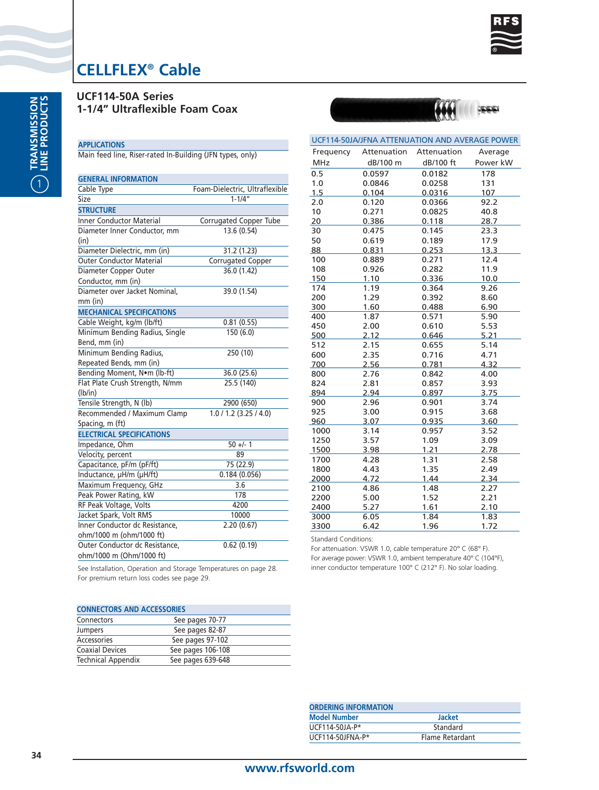

**UCF114-50A Series 1-1/4" Ultraflexible Foam Coax**

### **APPLICATIONS**

Main feed line, Riser-rated In-Building (JFN types, only)

| <b>GENERAL INFORMATION</b>       |                                |
|----------------------------------|--------------------------------|
| Cable Type                       | Foam-Dielectric, Ultraflexible |
| Size                             | $1 - 1/4"$                     |
| <b>STRUCTURE</b>                 |                                |
| <b>Inner Conductor Material</b>  | Corrugated Copper Tube         |
| Diameter Inner Conductor, mm     | 13.6 (0.54)                    |
| (in)                             |                                |
| Diameter Dielectric, mm (in)     | 31.2 (1.23)                    |
| <b>Outer Conductor Material</b>  | Corrugated Copper              |
| Diameter Copper Outer            | 36.0 (1.42)                    |
| Conductor, mm (in)               |                                |
| Diameter over Jacket Nominal,    | 39.0 (1.54)                    |
| mm (in)                          |                                |
| <b>MECHANICAL SPECIFICATIONS</b> |                                |
| Cable Weight, kg/m (lb/ft)       | 0.81(0.55)                     |
| Minimum Bending Radius, Single   | 150 (6.0)                      |
| Bend, mm (in)                    |                                |
| Minimum Bending Radius,          | 250 (10)                       |
| Repeated Bends, mm (in)          |                                |
| Bending Moment, Nom (lb-ft)      | 36.0 (25.6)                    |
| Flat Plate Crush Strength, N/mm  | 25.5 (140)                     |
| (lb/in)                          |                                |
| Tensile Strength, N (lb)         | 2900 (650)                     |
| Recommended / Maximum Clamp      | 1.0 / 1.2 (3.25 / 4.0)         |
| Spacing, m (ft)                  |                                |
| <b>ELECTRICAL SPECIFICATIONS</b> |                                |
| Impedance, Ohm                   | $50 +/- 1$                     |
| Velocity, percent                | 89                             |
| Capacitance, pF/m (pF/ft)        | 75 (22.9)                      |
| Inductance, µH/m (µH/ft)         | 0.184(0.056)                   |
| Maximum Frequency, GHz           | 3.6                            |
| Peak Power Rating, kW            | 178                            |
| RF Peak Voltage, Volts           | 4200                           |
| Jacket Spark, Volt RMS           | 10000                          |
| Inner Conductor dc Resistance,   | 2.20(0.67)                     |
| ohm/1000 m (ohm/1000 ft)         |                                |
| Outer Conductor dc Resistance,   | 0.62(0.19)                     |
| ohm/1000 m (Ohm/1000 ft)         |                                |

| UCF114-50JA/JFNA ATTENUATION AND AVERAGE POWER |              |                |              |  |
|------------------------------------------------|--------------|----------------|--------------|--|
| Frequency                                      | Attenuation  | Attenuation    | Average      |  |
| <b>MHz</b>                                     | dB/100 m     | dB/100 ft      | Power kW     |  |
| 0.5                                            | 0.0597       | 0.0182         | 178          |  |
| 1.0                                            | 0.0846       | 0.0258         | 131          |  |
| 1.5                                            | 0.104        | 0.0316         | 107          |  |
| 2.0                                            | 0.120        | 0.0366         | 92.2         |  |
| 10                                             | 0.271        | 0.0825         | 40.8         |  |
| 20                                             | 0.386        | 0.118          | 28.7         |  |
| 30                                             | 0.475        | 0.145          | 23.3         |  |
| 50                                             | 0.619        | 0.189          | 17.9         |  |
| 88                                             | 0.831        | 0.253          | 13.3         |  |
| 100                                            | 0.889        | 0.271          | 12.4         |  |
| 108                                            | 0.926        | 0.282          | 11.9         |  |
| 150                                            | 1.10         | 0.336          | 10.0         |  |
| 174                                            | 1.19         | 0.364          | 9.26         |  |
| 200                                            | 1.29         | 0.392          | 8.60         |  |
| 300                                            | 1.60         | 0.488          | 6.90         |  |
| 400                                            | 1.87         | 0.571          | 5.90         |  |
| 450                                            | 2.00         | 0.610          | 5.53         |  |
| 500                                            | 2.12         | 0.646          | 5.21         |  |
| 512                                            | 2.15         | 0.655          | 5.14         |  |
| 600                                            | 2.35         | 0.716          | 4.71         |  |
| 700                                            | 2.56         | 0.781          | 4.32         |  |
| 800                                            | 2.76         | 0.842          | 4.00         |  |
| 824                                            | 2.81         | 0.857          | 3.93         |  |
| 894                                            | 2.94         | 0.897          | 3.75         |  |
| 900                                            | 2.96         | 0.901          | 3.74         |  |
| 925                                            | 3.00         | 0.915          | 3.68         |  |
| 960                                            | 3.07<br>3.14 | 0.935<br>0.957 | 3.60         |  |
| 1000<br>1250                                   | 3.57         | 1.09           | 3.52<br>3.09 |  |
| 1500                                           | 3.98         | 1.21           | 2.78         |  |
| 1700                                           | 4.28         | 1.31           | 2.58         |  |
| 1800                                           | 4.43         | 1.35           | 2.49         |  |
| 2000                                           | 4.72         | 1.44           | 2.34         |  |
| 2100                                           | 4.86         | 1.48           | 2.27         |  |
| 2200                                           | 5.00         | 1.52           | 2.21         |  |
| 2400                                           | 5.27         | 1.61           | 2.10         |  |
| 3000                                           | 6.05         | 1.84           | 1.83         |  |
| 3300                                           | 6.42         | 1.96           | 1.72         |  |
|                                                |              |                |              |  |

Standard Conditions:

For attenuation: VSWR 1.0, cable temperature 20° C (68° F). For average power: VSWR 1.0, ambient temperature 40° C (104°F), inner conductor temperature 100° C (212° F). No solar loading.

| <b>CONNECTORS AND ACCESSORIES</b> |                   |  |  |
|-----------------------------------|-------------------|--|--|
| Connectors                        | See pages 70-77   |  |  |
| <b>Jumpers</b>                    | See pages 82-87   |  |  |
| Accessories                       | See pages 97-102  |  |  |
| <b>Coaxial Devices</b>            | See pages 106-108 |  |  |
| <b>Technical Appendix</b>         | See pages 639-648 |  |  |

| <b>ORDERING INFORMATION</b> |                 |  |
|-----------------------------|-----------------|--|
| <b>Model Number</b>         | <b>Jacket</b>   |  |
| UCF114-50JA-P*              | Standard        |  |
| $UCF114-50JFNA-P*$          | Flame Retardant |  |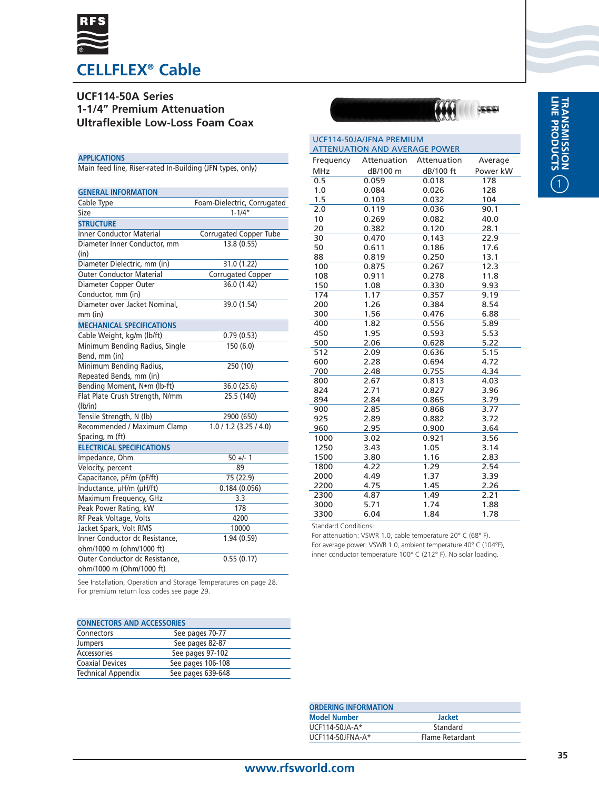

## **UCF114-50A Series 1-1/4" Premium Attenuation Ultraflexible Low-Loss Foam Coax**

#### **APPLICATIONS**

Main feed line, Riser-rated In-Building (JFN types, only)

| <b>GENERAL INFORMATION</b>       |                             |
|----------------------------------|-----------------------------|
| Cable Type                       | Foam-Dielectric, Corrugated |
| Size                             | $1 - 1/4''$                 |
| <b>STRUCTURE</b>                 |                             |
| <b>Inner Conductor Material</b>  | Corrugated Copper Tube      |
| Diameter Inner Conductor, mm     | 13.8(0.55)                  |
| (in)                             |                             |
| Diameter Dielectric, mm (in)     | 31.0(1.22)                  |
| <b>Outer Conductor Material</b>  | Corrugated Copper           |
| Diameter Copper Outer            | 36.0 (1.42)                 |
| Conductor, mm (in)               |                             |
| Diameter over Jacket Nominal,    | 39.0 (1.54)                 |
| mm (in)                          |                             |
| <b>MECHANICAL SPECIFICATIONS</b> |                             |
| Cable Weight, kg/m (lb/ft)       | 0.79(0.53)                  |
| Minimum Bending Radius, Single   | 150 (6.0)                   |
| Bend, mm (in)                    |                             |
| Minimum Bending Radius,          | 250 (10)                    |
| Repeated Bends, mm (in)          |                             |
| Bending Moment, Nom (lb-ft)      | 36.0 (25.6)                 |
| Flat Plate Crush Strength, N/mm  | 25.5 (140)                  |
| (lb/in)                          |                             |
| Tensile Strength, N (lb)         | 2900 (650)                  |
| Recommended / Maximum Clamp      | 1.0 / 1.2 (3.25 / 4.0)      |
| Spacing, m (ft)                  |                             |
| <b>ELECTRICAL SPECIFICATIONS</b> |                             |
| Impedance, Ohm                   | $50 +/- 1$                  |
| Velocity, percent                | 89                          |
| Capacitance, pF/m (pF/ft)        | 75 (22.9)                   |
| Inductance, µH/m (µH/ft)         | 0.184(0.056)                |
| Maximum Frequency, GHz           | 3.3                         |
| Peak Power Rating, kW            | 178                         |
| RF Peak Voltage, Volts           | 4200                        |
| Jacket Spark, Volt RMS           | 10000                       |
| Inner Conductor dc Resistance,   | 1.94 (0.59)                 |
| ohm/1000 m (ohm/1000 ft)         |                             |
| Outer Conductor dc Resistance,   | 0.55(0.17)                  |
| ohm/1000 m (Ohm/1000 ft)         |                             |

See Installation, Operation and Storage Temperatures on page 28. For premium return loss codes see page 29.

### **CONNECTORS AND ACCESSORIES**

| Connectors                | See pages 70-77   |  |
|---------------------------|-------------------|--|
| <b>Jumpers</b>            | See pages 82-87   |  |
| Accessories               | See pages 97-102  |  |
| <b>Coaxial Devices</b>    | See pages 106-108 |  |
| <b>Technical Appendix</b> | See pages 639-648 |  |



| UCF114-50JA/JFNA PREMIUM             |             |             |          |
|--------------------------------------|-------------|-------------|----------|
| <b>ATTENUATION AND AVERAGE POWER</b> |             |             |          |
| Frequency                            | Attenuation | Attenuation | Average  |
| <b>MHz</b>                           | dB/100 m    | dB/100 ft   | Power kW |
| 0.5                                  | 0.059       | 0.018       | 178      |
| 1.0                                  | 0.084       | 0.026       | 128      |
| 1.5                                  | 0.103       | 0.032       | 104      |
| 2.0                                  | 0.119       | 0.036       | 90.1     |
| 10                                   | 0.269       | 0.082       | 40.0     |
| 20                                   | 0.382       | 0.120       | 28.1     |
| 30                                   | 0.470       | 0.143       | 22.9     |
| 50                                   | 0.611       | 0.186       | 17.6     |
| 88                                   | 0.819       | 0.250       | 13.1     |
| 100                                  | 0.875       | 0.267       | 12.3     |
| 108                                  | 0.911       | 0.278       | 11.8     |
| 150                                  | 1.08        | 0.330       | 9.93     |
| 174                                  | 1.17        | 0.357       | 9.19     |
| 200                                  | 1.26        | 0.384       | 8.54     |
| 300                                  | 1.56        | 0.476       | 6.88     |
| 400                                  | 1.82        | 0.556       | 5.89     |
| 450                                  | 1.95        | 0.593       | 5.53     |
| 500                                  | 2.06        | 0.628       | 5.22     |
| 512                                  | 2.09        | 0.636       | 5.15     |
| 600                                  | 2.28        | 0.694       | 4.72     |
| 700                                  | 2.48        | 0.755       | 4.34     |
| 800                                  | 2.67        | 0.813       | 4.03     |
| 824                                  | 2.71        | 0.827       | 3.96     |
| 894                                  | 2.84        | 0.865       | 3.79     |
| 900                                  | 2.85        | 0.868       | 3.77     |
| 925                                  | 2.89        | 0.882       | 3.72     |
| 960                                  | 2.95        | 0.900       | 3.64     |
| 1000                                 | 3.02        | 0.921       | 3.56     |
| 1250                                 | 3.43        | 1.05        | 3.14     |
| 1500                                 | 3.80        | 1.16        | 2.83     |
| 1800                                 | 4.22        | 1.29        | 2.54     |
| 2000                                 | 4.49        | 1.37        | 3.39     |
| 2200                                 | 4.75        | 1.45        | 2.26     |
| 2300                                 | 4.87        | 1.49        | 2.21     |
| 3000                                 | 5.71        | 1.74        | 1.88     |
| 3300                                 | 6.04        | 1.84        | 1.78     |

Standard Conditions:

| <b>ORDERING INFORMATION</b> |                 |  |
|-----------------------------|-----------------|--|
| <b>Model Number</b>         | <b>Jacket</b>   |  |
| $UCF114-50IA-A*$            | Standard        |  |
| UCF114-50JFNA-A*            | Flame Retardant |  |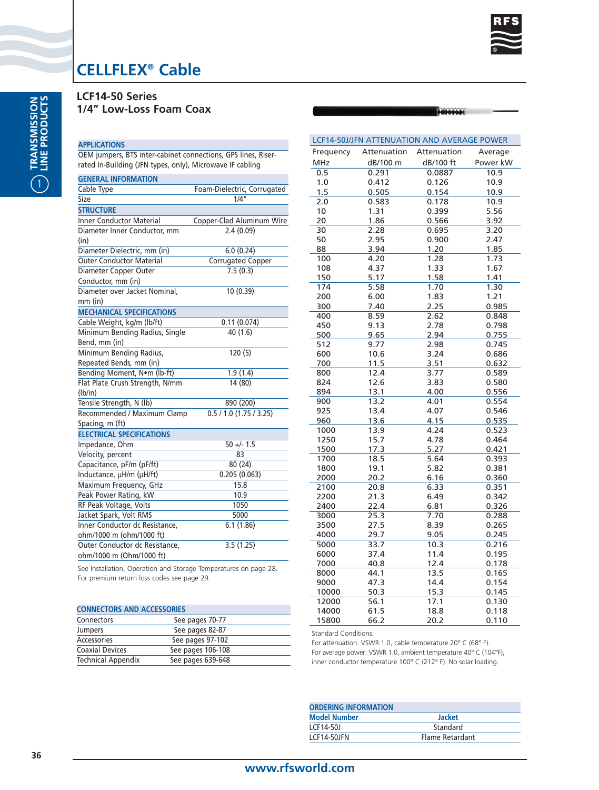

6666666

# **CELLFLEX® Cable**

**LCF14-50 Series 1/4" Low-Loss Foam Coax**

### **APPLICATIONS**

OEM jumpers, BTS inter-cabinet connections, GPS lines, Riserrated In-Building (JFN types, only), Microwave IF cabling

| <b>GENERAL INFORMATION</b>       |                             |
|----------------------------------|-----------------------------|
| Cable Type                       | Foam-Dielectric, Corrugated |
| Size                             | 1/4"                        |
| <b>STRUCTURE</b>                 |                             |
| <b>Inner Conductor Material</b>  | Copper-Clad Aluminum Wire   |
| Diameter Inner Conductor, mm     | 2.4(0.09)                   |
| (in)                             |                             |
| Diameter Dielectric, mm (in)     | 6.0(0.24)                   |
| <b>Outer Conductor Material</b>  | Corrugated Copper           |
| Diameter Copper Outer            | 7.5(0.3)                    |
| Conductor, mm (in)               |                             |
| Diameter over Jacket Nominal,    | 10(0.39)                    |
| $mm$ (in)                        |                             |
| <b>MECHANICAL SPECIFICATIONS</b> |                             |
| Cable Weight, kg/m (lb/ft)       | 0.11(0.074)                 |
| Minimum Bending Radius, Single   | 40(1.6)                     |
| Bend, mm (in)                    |                             |
| Minimum Bending Radius,          | 120(5)                      |
| Repeated Bends, mm (in)          |                             |
| Bending Moment, Nom (lb-ft)      | 1.9(1.4)                    |
| Flat Plate Crush Strength, N/mm  | 14 (80)                     |
| (lb/in)                          |                             |
| Tensile Strength, N (lb)         | 890 (200)                   |
| Recommended / Maximum Clamp      | 0.5 / 1.0 (1.75 / 3.25)     |
| Spacing, m (ft)                  |                             |
| <b>ELECTRICAL SPECIFICATIONS</b> |                             |
| Impedance, Ohm                   | $50 +/- 1.5$                |
| Velocity, percent                | 83                          |
| Capacitance, pF/m (pF/ft)        | 80 (24)                     |
| Inductance, µH/m (µH/ft)         | 0.205(0.063)                |
| Maximum Frequency, GHz           | 15.8                        |
| Peak Power Rating, kW            | 10.9                        |
| RF Peak Voltage, Volts           | 1050                        |
| Jacket Spark, Volt RMS           | 5000                        |
| Inner Conductor dc Resistance,   | 6.1(1.86)                   |
| ohm/1000 m (ohm/1000 ft)         |                             |
| Outer Conductor dc Resistance,   | 3.5(1.25)                   |
| ohm/1000 m (Ohm/1000 ft)         |                             |

See Installation, Operation and Storage Temperatures on page 28. For premium return loss codes see page 29.

| <b>CONNECTORS AND ACCESSORIES</b> |                   |  |
|-----------------------------------|-------------------|--|
| Connectors                        | See pages 70-77   |  |
| Jumpers                           | See pages 82-87   |  |
| Accessories                       | See pages 97-102  |  |
| <b>Coaxial Devices</b>            | See pages 106-108 |  |
| <b>Technical Appendix</b>         | See pages 639-648 |  |

|              |              | LCF14-50J/JFN ATTENUATION AND AVERAGE POWER |                |
|--------------|--------------|---------------------------------------------|----------------|
| Frequency    | Attenuation  | Attenuation                                 | Average        |
| <b>MHz</b>   | dB/100 m     | dB/100 ft                                   | Power kW       |
| 0.5          | 0.291        | 0.0887                                      | 10.9           |
| 1.0          | 0.412        | 0.126                                       | 10.9           |
| 1.5          | 0.505        | 0.154                                       | 10.9           |
| 2.0          | 0.583        | 0.178                                       | 10.9           |
| 10           | 1.31         | 0.399                                       | 5.56           |
| 20           | 1.86         | 0.566                                       | 3.92           |
| 30           | 2.28         | 0.695                                       | 3.20           |
| 50           | 2.95         | 0.900                                       | 2.47           |
| 88           | 3.94         | 1.20                                        | 1.85           |
| 100          | 4.20         | 1.28                                        | 1.73           |
| 108          | 4.37         | 1.33                                        | 1.67           |
| 150          | 5.17         | 1.58                                        | 1.41           |
| 174          | 5.58         | 1.70                                        | 1.30           |
| 200          | 6.00         | 1.83                                        | 1.21           |
| 300          | 7.40         | 2.25                                        | 0.985          |
| 400          | 8.59         | 2.62                                        | 0.848          |
| 450          | 9.13         | 2.78                                        | 0.798          |
| 500          | 9.65         | 2.94                                        | 0.755          |
| 512          | 9.77         | 2.98                                        | 0.745          |
| 600          | 10.6         | 3.24                                        | 0.686          |
| 700          | 11.5         | 3.51                                        | 0.632          |
| 800          | 12.4         | 3.77                                        | 0.589          |
| 824          | 12.6         | 3.83                                        | 0.580          |
| 894          | 13.1         | 4.00                                        | 0.556          |
| 900          | 13.2         | 4.01                                        | 0.554          |
| 925          | 13.4         | 4.07                                        | 0.546          |
| 960          | 13.6         | 4.15                                        | 0.535          |
| 1000         | 13.9         | 4.24                                        | 0.523          |
| 1250         | 15.7         | 4.78                                        | 0.464          |
| 1500         | 17.3         | 5.27                                        | 0.421          |
| 1700         | 18.5         | 5.64                                        | 0.393          |
| 1800         | 19.1         | 5.82                                        | 0.381          |
| 2000<br>2100 | 20.2<br>20.8 | 6.16                                        | 0.360<br>0.351 |
| 2200         | 21.3         | 6.33<br>6.49                                | 0.342          |
| 2400         | 22.4         | 6.81                                        | 0.326          |
| 3000         | 25.3         | 7.70                                        | 0.288          |
| 3500         | 27.5         | 8.39                                        | 0.265          |
| 4000         | 29.7         | 9.05                                        | 0.245          |
| 5000         | 33.7         | 10.3                                        | 0.216          |
| 6000         | 37.4         | 11.4                                        | 0.195          |
| 7000         | 40.8         | 12.4                                        | 0.178          |
| 8000         | 44.1         | 13.5                                        | 0.165          |
| 9000         | 47.3         | 14.4                                        | 0.154          |
| 10000        | 50.3         | 15.3                                        | 0.145          |
| 12000        | 56.1         | 17.1                                        | 0.130          |
| 14000        | 61.5         | 18.8                                        | 0.118          |
| 15800        | 66.2         | 20.2                                        | 0.110          |

Standard Conditions:

| <b>ORDERING INFORMATION</b> |                 |
|-----------------------------|-----------------|
| <b>Model Number</b>         | <b>Jacket</b>   |
| LCF14-501                   | Standard        |
| LCF14-50JFN                 | Flame Retardant |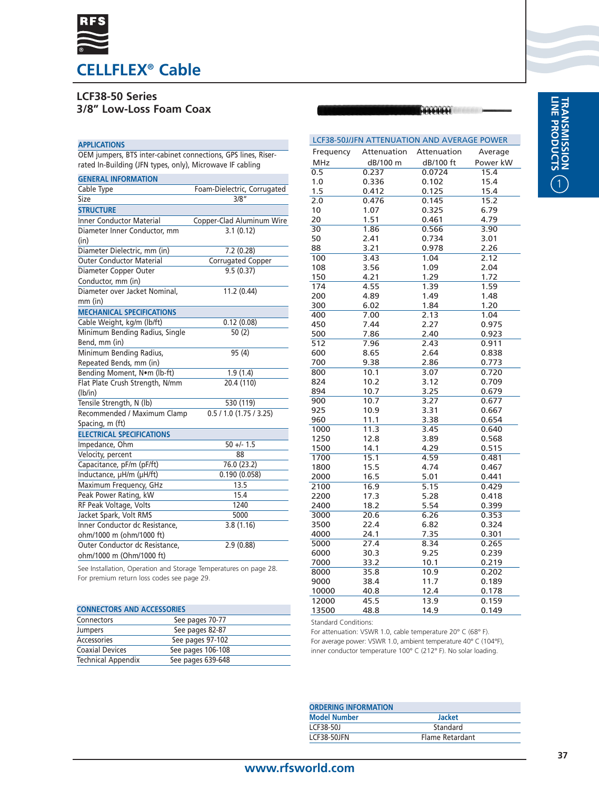

# **LCF38-50 Series**

**3/8" Low-Loss Foam Coax**

### **APPLICATIONS**

OEM jumpers, BTS inter-cabinet connections, GPS lines, Riserrated In-Building (JFN types, only), Microwave IF cabling

| <b>GENERAL INFORMATION</b>       |                             |
|----------------------------------|-----------------------------|
| Cable Type                       | Foam-Dielectric, Corrugated |
| Size                             | 3/8"                        |
| <b>STRUCTURE</b>                 |                             |
| <b>Inner Conductor Material</b>  | Copper-Clad Aluminum Wire   |
| Diameter Inner Conductor, mm     | 3.1(0.12)                   |
| (in)                             |                             |
| Diameter Dielectric, mm (in)     | 7.2 (0.28)                  |
| <b>Outer Conductor Material</b>  | <b>Corrugated Copper</b>    |
| Diameter Copper Outer            | 9.5(0.37)                   |
| Conductor, mm (in)               |                             |
| Diameter over Jacket Nominal,    | 11.2 (0.44)                 |
| $mm$ (in)                        |                             |
| <b>MECHANICAL SPECIFICATIONS</b> |                             |
| Cable Weight, kg/m (lb/ft)       | 0.12(0.08)                  |
| Minimum Bending Radius, Single   | 50(2)                       |
| Bend, mm (in)                    |                             |
| Minimum Bending Radius,          | 95 (4)                      |
| Repeated Bends, mm (in)          |                             |
| Bending Moment, Nom (lb-ft)      | 1.9(1.4)                    |
| Flat Plate Crush Strength, N/mm  | 20.4 (110)                  |
| (lb/in)                          |                             |
| Tensile Strength, N (lb)         | 530 (119)                   |
| Recommended / Maximum Clamp      | 0.5 / 1.0 (1.75 / 3.25)     |
| Spacing, m (ft)                  |                             |
| <b>ELECTRICAL SPECIFICATIONS</b> |                             |
| Impedance, Ohm                   | $50 +/- 1.5$                |
| Velocity, percent                | 88                          |
| Capacitance, pF/m (pF/ft)        | 76.0 (23.2)                 |
| Inductance, µH/m (µH/ft)         | 0.190(0.058)                |
| Maximum Frequency, GHz           | 13.5                        |
| Peak Power Rating, kW            | 15.4                        |
| RF Peak Voltage, Volts           | 1240                        |
| Jacket Spark, Volt RMS           | 5000                        |
| Inner Conductor dc Resistance,   | 3.8(1.16)                   |
| ohm/1000 m (ohm/1000 ft)         |                             |
| Outer Conductor dc Resistance,   | 2.9(0.88)                   |
| ohm/1000 m (Ohm/1000 ft)         |                             |

| 200   | 4.89 | 1.49 | 1.48  |
|-------|------|------|-------|
| 300   | 6.02 | 1.84 | 1.20  |
| 400   | 7.00 | 2.13 | 1.04  |
| 450   | 7.44 | 2.27 | 0.975 |
| 500   | 7.86 | 2.40 | 0.923 |
| 512   | 7.96 | 2.43 | 0.911 |
| 600   | 8.65 | 2.64 | 0.838 |
| 700   | 9.38 | 2.86 | 0.773 |
| 800   | 10.1 | 3.07 | 0.720 |
| 824   | 10.2 | 3.12 | 0.709 |
| 894   | 10.7 | 3.25 | 0.679 |
| 900   | 10.7 | 3.27 | 0.677 |
| 925   | 10.9 | 3.31 | 0.667 |
| 960   | 11.1 | 3.38 | 0.654 |
| 1000  | 11.3 | 3.45 | 0.640 |
| 1250  | 12.8 | 3.89 | 0.568 |
| 1500  | 14.1 | 4.29 | 0.515 |
| 1700  | 15.1 | 4.59 | 0.481 |
| 1800  | 15.5 | 4.74 | 0.467 |
| 2000  | 16.5 | 5.01 | 0.441 |
| 2100  | 16.9 | 5.15 | 0.429 |
| 2200  | 17.3 | 5.28 | 0.418 |
| 2400  | 18.2 | 5.54 | 0.399 |
| 3000  | 20.6 | 6.26 | 0.353 |
| 3500  | 22.4 | 6.82 | 0.324 |
| 4000  | 24.1 | 7.35 | 0.301 |
| 5000  | 27.4 | 8.34 | 0.265 |
| 6000  | 30.3 | 9.25 | 0.239 |
| 7000  | 33.2 | 10.1 | 0.219 |
| 8000  | 35.8 | 10.9 | 0.202 |
| 9000  | 38.4 | 11.7 | 0.189 |
| 10000 | 40.8 | 12.4 | 0.178 |
| 12000 | 45.5 | 13.9 | 0.159 |
| 13500 | 48.8 | 14.9 | 0.149 |

LCF38-50J/JFN ATTENUATION AND AVERAGE POWER

0.5 0.237 0.0724 15.4<br>1.0 0.336 0.102 15.4 1.0 0.336 0.102 15.4

10 1.07 0.325 6.79<br>20 1.51 0.461 4.79 20 1.51 0.461 4.79<br>30 1.86 0.566 3.90

50 2.41 0.734 3.01 88 3.21 0.978 2.26<br>100 3.43 1.04 2.12 100 3.43 1.04 2.12 108 3.56 1.09 2.04 150 4.21 1.29 1.72 174 4.55 1.39 1.59

Attenuation dB/100 ft

16161616161

0.476 0.145 15.2

Average Power kW<br>15.4

Attenuation  $\frac{\text{dB}/100 \text{ m}}{0.237}$ 

1.5 0.412 0.125<br>2.0 0.476 0.145

30 1.86 0.566<br>50 2.41 0.734

Frequency  $\frac{\text{MHz}}{0.5}$ 

See Installation, Operation and Storage Temperatures on page 28. For premium return loss codes see page 29.

| <b>CONNECTORS AND ACCESSORIES</b> |                   |  |
|-----------------------------------|-------------------|--|
| Connectors                        | See pages 70-77   |  |
| Jumpers                           | See pages 82-87   |  |
| Accessories                       | See pages 97-102  |  |
| <b>Coaxial Devices</b>            | See pages 106-108 |  |
| <b>Technical Appendix</b>         | See pages 639-648 |  |

Standard Conditions:

| <b>ORDERING INFORMATION</b> |                 |
|-----------------------------|-----------------|
| <b>Model Number</b>         | <b>Jacket</b>   |
| LCF38-50J                   | Standard        |
| LCF38-50JFN                 | Flame Retardant |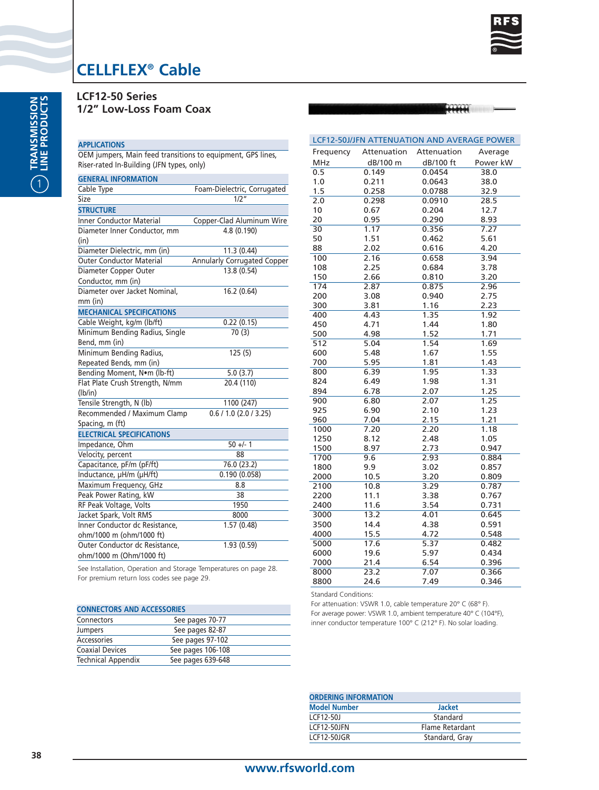

Average Power kW<br>38.0

166664

# **CELLFLEX® Cable**

**LCF12-50 Series 1/2" Low-Loss Foam Coax**

### **APPLICATIONS**

OEM jumpers, Main feed transitions to equipment, GPS lines, Riser-rated In-Building (JFN types, only)

| <b>GENERAL INFORMATION</b>       |                                    |
|----------------------------------|------------------------------------|
| Cable Type                       | Foam-Dielectric, Corrugated        |
| Size                             | 1/2″                               |
| <b>STRUCTURE</b>                 |                                    |
| <b>Inner Conductor Material</b>  | Copper-Clad Aluminum Wire          |
| Diameter Inner Conductor, mm     | 4.8 (0.190)                        |
| (in)                             |                                    |
| Diameter Dielectric, mm (in)     | 11.3 (0.44)                        |
| <b>Outer Conductor Material</b>  | <b>Annularly Corrugated Copper</b> |
| Diameter Copper Outer            | 13.8 (0.54)                        |
| Conductor, mm (in)               |                                    |
| Diameter over Jacket Nominal,    | 16.2 (0.64)                        |
| $mm$ (in)                        |                                    |
| <b>MECHANICAL SPECIFICATIONS</b> |                                    |
| Cable Weight, kg/m (lb/ft)       | 0.22(0.15)                         |
| Minimum Bending Radius, Single   | 70(3)                              |
| Bend, mm (in)                    |                                    |
| Minimum Bending Radius,          | 125(5)                             |
| Repeated Bends, mm (in)          |                                    |
| Bending Moment, Nom (lb-ft)      | 5.0(3.7)                           |
| Flat Plate Crush Strength, N/mm  | 20.4 (110)                         |
| (lb/in)                          |                                    |
| Tensile Strength, N (lb)         | 1100 (247)                         |
| Recommended / Maximum Clamp      | 0.6 / 1.0 (2.0 / 3.25)             |
| Spacing, m (ft)                  |                                    |
| <b>ELECTRICAL SPECIFICATIONS</b> |                                    |
| Impedance, Ohm                   | $50 +/- 1$                         |
| Velocity, percent                | 88                                 |
| Capacitance, pF/m (pF/ft)        | 76.0 (23.2)                        |
| Inductance, µH/m (µH/ft)         | 0.190(0.058)                       |
| Maximum Frequency, GHz           | 8.8                                |
| Peak Power Rating, kW            | 38                                 |
| RF Peak Voltage, Volts           | 1950                               |
| Jacket Spark, Volt RMS           | 8000                               |
| Inner Conductor dc Resistance,   | 1.57(0.48)                         |
| ohm/1000 m (ohm/1000 ft)         |                                    |
| Outer Conductor dc Resistance,   | 1.93(0.59)                         |
| ohm/1000 m (Ohm/1000 ft)         |                                    |

|                                            |  | See Installation, Operation and Storage Temperatures on page 28. |  |
|--------------------------------------------|--|------------------------------------------------------------------|--|
| For premium return loss codes see page 29. |  |                                                                  |  |

| <b>CONNECTORS AND ACCESSORIES</b> |                   |  |
|-----------------------------------|-------------------|--|
| Connectors                        | See pages 70-77   |  |
| Jumpers                           | See pages 82-87   |  |
| Accessories                       | See pages 97-102  |  |
| <b>Coaxial Devices</b>            | See pages 106-108 |  |
| <b>Technical Appendix</b>         | See pages 639-648 |  |

| lines,   | Frequency  | Attenuation | Attenuation | Avera |
|----------|------------|-------------|-------------|-------|
|          | <b>MHz</b> | dB/100 m    | dB/100 ft   | Power |
|          | 0.5        | 0.149       | 0.0454      | 38.0  |
|          | 1.0        | 0.211       | 0.0643      | 38.0  |
| rugated  | 1.5        | 0.258       | 0.0788      | 32.9  |
|          | 2.0        | 0.298       | 0.0910      | 28.5  |
|          | 10         | 0.67        | 0.204       | 12.7  |
| um Wire  | 20         | 0.95        | 0.290       | 8.93  |
|          | 30         | 1.17        | 0.356       | 7.27  |
|          | 50         | 1.51        | 0.462       | 5.61  |
|          | 88         | 2.02        | 0.616       | 4.20  |
| d Copper | 100        | 2.16        | 0.658       | 3.94  |
|          | 108        | 2.25        | 0.684       | 3.78  |
|          | 150        | 2.66        | 0.810       | 3.20  |
|          | 174        | 2.87        | 0.875       | 2.96  |
|          | 200        | 3.08        | 0.940       | 2.75  |
|          | 300        | 3.81        | 1.16        | 2.23  |
|          | 400        | 4.43        | 1.35        | 1.92  |
|          | 450        | 4.71        | 1.44        | 1.80  |
|          | 500        | 4.98        | 1.52        | 1.71  |
|          | 512        | 5.04        | 1.54        | 1.69  |
|          | 600        | 5.48        | 1.67        | 1.55  |
|          | 700        | 5.95        | 1.81        | 1.43  |
|          | 800        | 6.39        | 1.95        | 1.33  |
|          | 824        | 6.49        | 1.98        | 1.31  |
|          | 894        | 6.78        | 2.07        | 1.25  |

| ے ا ر | J.U4 | +د. ا | 1.UJ  |
|-------|------|-------|-------|
| 600   | 5.48 | 1.67  | 1.55  |
| 700   | 5.95 | 1.81  | 1.43  |
| 800   | 6.39 | 1.95  | 1.33  |
| 824   | 6.49 | 1.98  | 1.31  |
| 894   | 6.78 | 2.07  | 1.25  |
| 900   | 6.80 | 2.07  | 1.25  |
| 925   | 6.90 | 2.10  | 1.23  |
| 960   | 7.04 | 2.15  | 1.21  |
| 1000  | 7.20 | 2.20  | 1.18  |
| 1250  | 8.12 | 2.48  | 1.05  |
| 1500  | 8.97 | 2.73  | 0.947 |
| 1700  | 9.6  | 2.93  | 0.884 |
| 1800  | 9.9  | 3.02  | 0.857 |
| 2000  | 10.5 | 3.20  | 0.809 |
| 2100  | 10.8 | 3.29  | 0.787 |
| 2200  | 11.1 | 3.38  | 0.767 |
| 2400  | 11.6 | 3.54  | 0.731 |
| 3000  | 13.2 | 4.01  | 0.645 |
| 3500  | 14.4 | 4.38  | 0.591 |
| 4000  | 15.5 | 4.72  | 0.548 |
| 5000  | 17.6 | 5.37  | 0.482 |
| 6000  | 19.6 | 5.97  | 0.434 |
| 7000  | 21.4 | 6.54  | 0.396 |
| 8000  | 23.2 | 7.07  | 0.366 |
| 8800  | 24.6 | 7.49  | 0.346 |

LCF12-50J/JFN ATTENUATION AND AVERAGE POWER

Standard Conditions:

| <b>ORDERING INFORMATION</b> |  |  |
|-----------------------------|--|--|
| <b>Jacket</b>               |  |  |
| Standard                    |  |  |
| Flame Retardant             |  |  |
| Standard, Gray              |  |  |
|                             |  |  |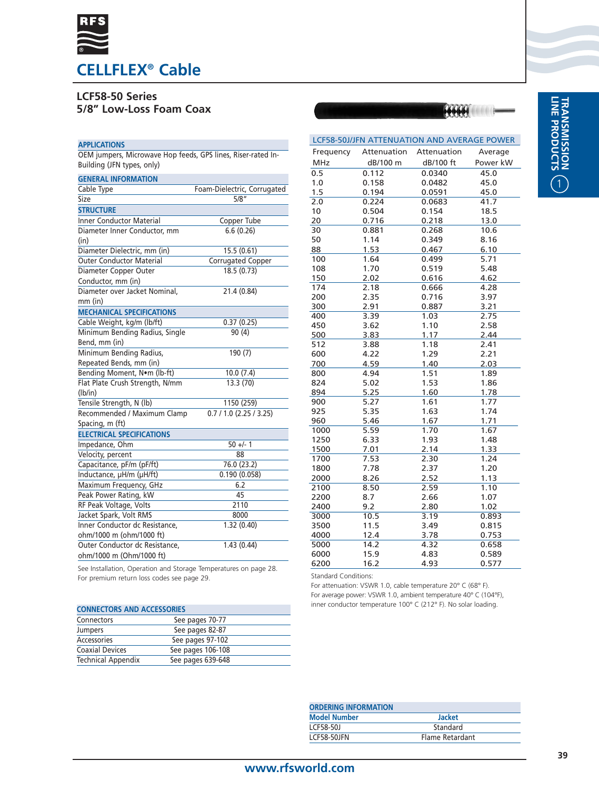

# **LCF58-50 Series 5/8" Low-Loss Foam Coax**

### **APPLICATIONS**

OEM jumpers, Microwave Hop feeds, GPS lines, Riser-rated In-Building (JFN types, only)

| <b>GENERAL INFORMATION</b>       |                             |
|----------------------------------|-----------------------------|
| Cable Type                       | Foam-Dielectric, Corrugated |
| Size                             | 5/8''                       |
| <b>STRUCTURE</b>                 |                             |
| <b>Inner Conductor Material</b>  | Copper Tube                 |
| Diameter Inner Conductor, mm     | 6.6(0.26)                   |
| (in)                             |                             |
| Diameter Dielectric, mm (in)     | 15.5 (0.61)                 |
| <b>Outer Conductor Material</b>  | <b>Corrugated Copper</b>    |
| Diameter Copper Outer            | 18.5 (0.73)                 |
| Conductor, mm (in)               |                             |
| Diameter over Jacket Nominal,    | 21.4 (0.84)                 |
| $mm$ (in)                        |                             |
| <b>MECHANICAL SPECIFICATIONS</b> |                             |
| Cable Weight, kg/m (lb/ft)       | 0.37(0.25)                  |
| Minimum Bending Radius, Single   | 90(4)                       |
| Bend, mm (in)                    |                             |
| Minimum Bending Radius,          | 190 (7)                     |
| Repeated Bends, mm (in)          |                             |
| Bending Moment, Nom (lb-ft)      | 10.0(7.4)                   |
| Flat Plate Crush Strength, N/mm  | 13.3 (70)                   |
| (lb/in)                          |                             |
| Tensile Strength, N (lb)         | 1150 (259)                  |
| Recommended / Maximum Clamp      | $0.7 / 1.0$ (2.25 / 3.25)   |
| Spacing, m (ft)                  |                             |
| <b>ELECTRICAL SPECIFICATIONS</b> |                             |
| Impedance, Ohm                   | $50 +/- 1$                  |
| Velocity, percent                | 88                          |
| Capacitance, pF/m (pF/ft)        | 76.0 (23.2)                 |
| Inductance, µH/m (µH/ft)         | 0.190(0.058)                |
| Maximum Frequency, GHz           | 6.2                         |
| Peak Power Rating, kW            | 45                          |
| RF Peak Voltage, Volts           | 2110                        |
| Jacket Spark, Volt RMS           | 8000                        |
| Inner Conductor dc Resistance,   | 1.32(0.40)                  |
| ohm/1000 m (ohm/1000 ft)         |                             |
| Outer Conductor dc Resistance,   | 1.43(0.44)                  |
| ohm/1000 m (Ohm/1000 ft)         |                             |

| MHz  | dB/100 m | dB/100 ft | Power kW |
|------|----------|-----------|----------|
| 0.5  | 0.112    | 0.0340    | 45.0     |
| 1.0  | 0.158    | 0.0482    | 45.0     |
| 1.5  | 0.194    | 0.0591    | 45.0     |
| 2.0  | 0.224    | 0.0683    | 41.7     |
| 10   | 0.504    | 0.154     | 18.5     |
| 20   | 0.716    | 0.218     | 13.0     |
| 30   | 0.881    | 0.268     | 10.6     |
| 50   | 1.14     | 0.349     | 8.16     |
| 88   | 1.53     | 0.467     | 6.10     |
| 100  | 1.64     | 0.499     | 5.71     |
| 108  | 1.70     | 0.519     | 5.48     |
| 150  | 2.02     | 0.616     | 4.62     |
| 174  | 2.18     | 0.666     | 4.28     |
| 200  | 2.35     | 0.716     | 3.97     |
| 300  | 2.91     | 0.887     | 3.21     |
| 400  | 3.39     | 1.03      | 2.75     |
| 450  | 3.62     | 1.10      | 2.58     |
| 500  | 3.83     | 1.17      | 2.44     |
| 512  | 3.88     | 1.18      | 2.41     |
| 600  | 4.22     | 1.29      | 2.21     |
| 700  | 4.59     | 1.40      | 2.03     |
| 800  | 4.94     | 1.51      | 1.89     |
| 824  | 5.02     | 1.53      | 1.86     |
| 894  | 5.25     | 1.60      | 1.78     |
| 900  | 5.27     | 1.61      | 1.77     |
| 925  | 5.35     | 1.63      | 1.74     |
| 960  | 5.46     | 1.67      | 1.71     |
| 1000 | 5.59     | 1.70      | 1.67     |
| 1250 | 6.33     | 1.93      | 1.48     |
| 1500 | 7.01     | 2.14      | 1.33     |
| 1700 | 7.53     | 2.30      | 1.24     |
| 1800 | 7.78     | 2.37      | 1.20     |
| 2000 | 8.26     | 2.52      | 1.13     |
| 2100 | 8.50     | 2.59      | 1.10     |
| 2200 | 8.7      | 2.66      | 1.07     |
| 2400 | 9.2      | 2.80      | 1.02     |
| 3000 | 10.5     | 3.19      | 0.893    |
| 3500 | 11.5     | 3.49      | 0.815    |
| 4000 | 12.4     | 3.78      | 0.753    |
| 5000 | 14.2     | 4.32      | 0.658    |
| 6000 | 15.9     | 4.83      | 0.589    |
| 6200 | 16.2     | 4.93      | 0.577    |

LCF58-50J/JFN ATTENUATION AND AVERAGE POWER

Attenuation Attenuation

Frequency

See Installation, Operation and Storage Temperatures on page 28. For premium return loss codes see page 29.

| <b>CONNECTORS AND ACCESSORIES</b> |                   |  |  |
|-----------------------------------|-------------------|--|--|
| Connectors                        | See pages 70-77   |  |  |
| Jumpers                           | See pages 82-87   |  |  |
| Accessories                       | See pages 97-102  |  |  |
| <b>Coaxial Devices</b>            | See pages 106-108 |  |  |
| <b>Technical Appendix</b>         | See pages 639-648 |  |  |

Standard Conditions:

For attenuation: VSWR 1.0, cable temperature 20° C (68° F). For average power: VSWR 1.0, ambient temperature 40° C (104°F), inner conductor temperature 100° C (212° F). No solar loading.

| <b>ORDERING INFORMATION</b> |                 |  |  |
|-----------------------------|-----------------|--|--|
| <b>Model Number</b>         | <b>Jacket</b>   |  |  |
| LCF58-50J                   | Standard        |  |  |
| LCF58-50JFN                 | Flame Retardant |  |  |

Average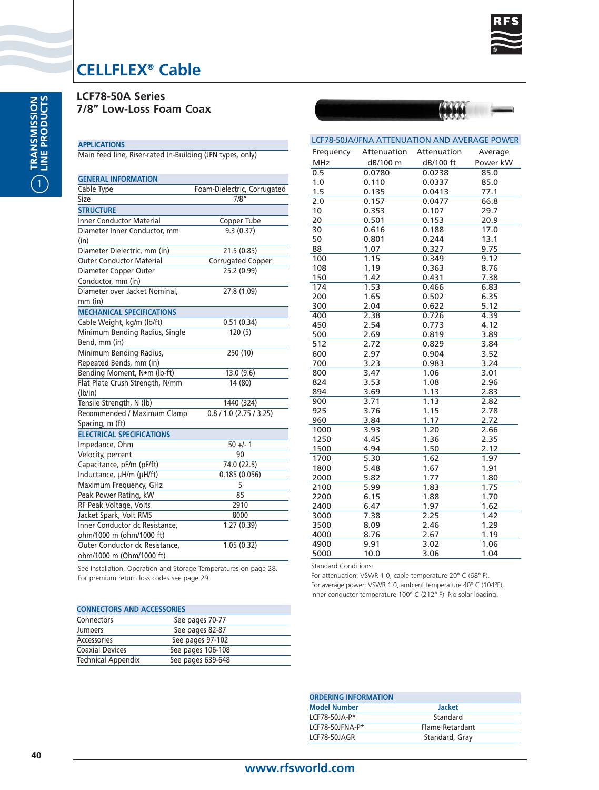

**LCF78-50A Series 7/8" Low-Loss Foam Coax**

### **APPLICATIONS**

Main feed line, Riser-rated In-Building (JFN types, only)

| <b>GENERAL INFORMATION</b>       |                             |
|----------------------------------|-----------------------------|
| Cable Type                       | Foam-Dielectric, Corrugated |
| Size                             | 7/8″                        |
| <b>STRUCTURE</b>                 |                             |
| <b>Inner Conductor Material</b>  | Copper Tube                 |
| Diameter Inner Conductor, mm     | 9.3(0.37)                   |
| (in)                             |                             |
| Diameter Dielectric, mm (in)     | 21.5 (0.85)                 |
| <b>Outer Conductor Material</b>  | <b>Corrugated Copper</b>    |
| Diameter Copper Outer            | 25.2 (0.99)                 |
| Conductor, mm (in)               |                             |
| Diameter over Jacket Nominal,    | 27.8 (1.09)                 |
| $mm$ (in)                        |                             |
| <b>MECHANICAL SPECIFICATIONS</b> |                             |
| Cable Weight, kg/m (lb/ft)       | 0.51(0.34)                  |
| Minimum Bending Radius, Single   | 120(5)                      |
| Bend, mm (in)                    |                             |
| Minimum Bending Radius,          | 250 (10)                    |
| Repeated Bends, mm (in)          |                             |
| Bending Moment, Nom (lb-ft)      | 13.0 (9.6)                  |
| Flat Plate Crush Strength, N/mm  | 14 (80)                     |
| (lb/in)                          |                             |
| Tensile Strength, N (lb)         | 1440 (324)                  |
| Recommended / Maximum Clamp      | 0.8 / 1.0 (2.75 / 3.25)     |
| Spacing, m (ft)                  |                             |
| <b>ELECTRICAL SPECIFICATIONS</b> |                             |
| Impedance, Ohm                   | $50 +/- 1$                  |
| Velocity, percent                | 90                          |
| Capacitance, pF/m (pF/ft)        | 74.0 (22.5)                 |
| Inductance, µH/m (µH/ft)         | 0.185(0.056)                |
| Maximum Frequency, GHz           | 5                           |
| Peak Power Rating, kW            | 85                          |
| RF Peak Voltage, Volts           | 2910                        |
| Jacket Spark, Volt RMS           | 8000                        |
| Inner Conductor dc Resistance,   | 1.27(0.39)                  |
| ohm/1000 m (ohm/1000 ft)         |                             |
| Outer Conductor dc Resistance,   | 1.05(0.32)                  |
| ohm/1000 m (Ohm/1000 ft)         |                             |

| Frequency  | Attenuation | Attenuation | Average  |
|------------|-------------|-------------|----------|
| <b>MHz</b> | dB/100 m    | dB/100 ft   | Power kW |
| 0.5        | 0.0780      | 0.0238      | 85.0     |
| 1.0        | 0.110       | 0.0337      | 85.0     |
| 1.5        | 0.135       | 0.0413      | 77.1     |
| 2.0        | 0.157       | 0.0477      | 66.8     |
| 10         | 0.353       | 0.107       | 29.7     |
| 20         | 0.501       | 0.153       | 20.9     |
| 30         | 0.616       | 0.188       | 17.0     |
| 50         | 0.801       | 0.244       | 13.1     |
| 88         | 1.07        | 0.327       | 9.75     |
| 100        | 1.15        | 0.349       | 9.12     |
| 108        | 1.19        | 0.363       | 8.76     |
| 150        | 1.42        | 0.431       | 7.38     |
| 174        | 1.53        | 0.466       | 6.83     |
| 200        | 1.65        | 0.502       | 6.35     |
| 300        | 2.04        | 0.622       | 5.12     |
| 400        | 2.38        | 0.726       | 4.39     |
| 450        | 2.54        | 0.773       | 4.12     |
| 500        | 2.69        | 0.819       | 3.89     |
| 512        | 2.72        | 0.829       | 3.84     |
| 600        | 2.97        | 0.904       | 3.52     |
| 700        | 3.23        | 0.983       | 3.24     |
| 800        | 3.47        | 1.06        | 3.01     |
| 824        | 3.53        | 1.08        | 2.96     |
| 894        | 3.69        | 1.13        | 2.83     |
| 900        | 3.71        | 1.13        | 2.82     |
| 925        | 3.76        | 1.15        | 2.78     |
| 960        | 3.84        | 1.17        | 2.72     |
| 1000       | 3.93        | 1.20        | 2.66     |
| 1250       | 4.45        | 1.36        | 2.35     |
| 1500       | 4.94        | 1.50        | 2.12     |
| 1700       | 5.30        | 1.62        | 1.97     |
| 1800       | 5.48        | 1.67        | 1.91     |
| 2000       | 5.82        | 1.77        | 1.80     |
| 2100       | 5.99        | 1.83        | 1.75     |
| 2200       | 6.15        | 1.88        | 1.70     |
| 2400       | 6.47        | 1.97        | 1.62     |
| 3000       | 7.38        | 2.25        | 1.42     |
| 3500       | 8.09        | 2.46        | 1.29     |
| 4000       | 8.76        | 2.67        | 1.19     |
| 4900       | 9.91        | 3.02        | 1.06     |
| 5000       | 10.0        | 3.06        | 1.04     |

LCF78-50JA/JFNA ATTENUATION AND AVERAGE POWER

See Installation, Operation and Storage Temperatures on page 28. For premium return loss codes see page 29.

| <b>CONNECTORS AND ACCESSORIES</b> |                   |  |  |
|-----------------------------------|-------------------|--|--|
| Connectors                        | See pages 70-77   |  |  |
| Jumpers                           | See pages 82-87   |  |  |
| Accessories                       | See pages 97-102  |  |  |
| <b>Coaxial Devices</b>            | See pages 106-108 |  |  |
| <b>Technical Appendix</b>         | See pages 639-648 |  |  |

| <b>Jacket</b>   |
|-----------------|
| Standard        |
| Flame Retardant |
| Standard, Gray  |
|                 |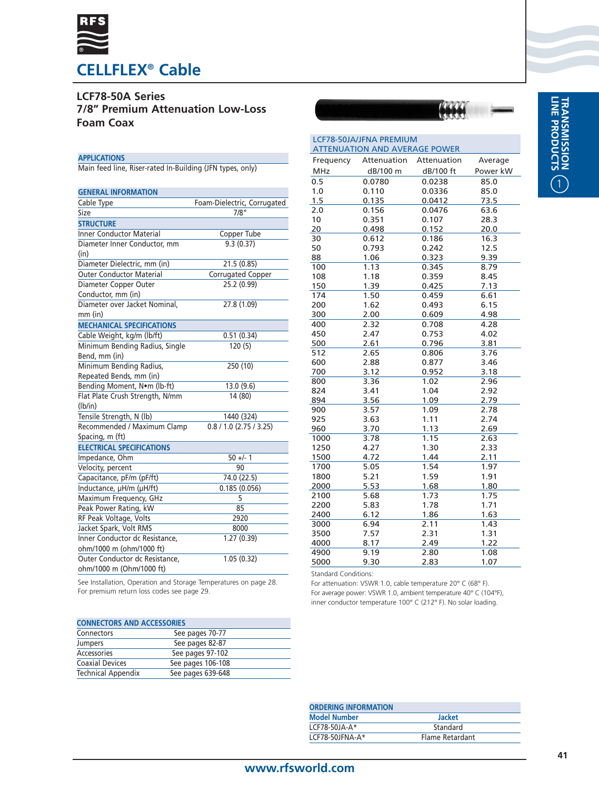

## **LCF78-50A Series 7/8" Premium Attenuation Low-Loss Foam Coax**

### **APPLICATIONS**

Main feed line, Riser-rated In-Building (JFN types, only)

| <b>GENERAL INFORMATION</b>       |                             |
|----------------------------------|-----------------------------|
| Cable Type                       | Foam-Dielectric, Corrugated |
| Size                             | 7/8"                        |
| <b>STRUCTURE</b>                 |                             |
| <b>Inner Conductor Material</b>  | Copper Tube                 |
| Diameter Inner Conductor, mm     | 9.3(0.37)                   |
| (in)                             |                             |
| Diameter Dielectric, mm (in)     | 21.5 (0.85)                 |
| <b>Outer Conductor Material</b>  | Corrugated Copper           |
| Diameter Copper Outer            | 25.2(0.99)                  |
| Conductor, mm (in)               |                             |
| Diameter over Jacket Nominal,    | 27.8 (1.09)                 |
| $mm$ (in)                        |                             |
| <b>MECHANICAL SPECIFICATIONS</b> |                             |
| Cable Weight, kg/m (lb/ft)       | 0.51(0.34)                  |
| Minimum Bending Radius, Single   | 120(5)                      |
| Bend, mm (in)                    |                             |
| Minimum Bending Radius,          | 250 (10)                    |
| Repeated Bends, mm (in)          |                             |
| Bending Moment, Nom (lb-ft)      | 13.0 (9.6)                  |
| Flat Plate Crush Strength, N/mm  | 14 (80)                     |
| (lb/in)                          |                             |
| Tensile Strength, N (lb)         | 1440 (324)                  |
| Recommended / Maximum Clamp      | $0.8 / 1.0$ (2.75 / 3.25)   |
| Spacing, m (ft)                  |                             |
| <b>ELECTRICAL SPECIFICATIONS</b> |                             |
| Impedance, Ohm                   | $50 +/- 1$                  |
| Velocity, percent                | 90                          |
| Capacitance, pF/m (pF/ft)        | 74.0 (22.5)                 |
| Inductance, µH/m (µH/ft)         | 0.185(0.056)                |
| Maximum Frequency, GHz           | 5                           |
| Peak Power Rating, kW            | 85                          |
| RF Peak Voltage, Volts           | 2920                        |
| Jacket Spark, Volt RMS           | 8000                        |
| Inner Conductor dc Resistance,   | 1.27(0.39)                  |
| ohm/1000 m (ohm/1000 ft)         |                             |
| Outer Conductor dc Resistance,   | 1.05(0.32)                  |
| ohm/1000 m (Ohm/1000 ft)         |                             |

| <b>LCF78-50JA/JFNA PREMIUM</b><br><b>ATTENUATION AND AVERAGE POWER</b> |             |             |          |  |
|------------------------------------------------------------------------|-------------|-------------|----------|--|
| Frequency                                                              | Attenuation | Attenuation | Average  |  |
| <b>MHz</b>                                                             | dB/100 m    | dB/100 ft   | Power kW |  |
| 0.5                                                                    | 0.0780      | 0.0238      | 85.0     |  |
| 1.0                                                                    | 0.110       | 0.0336      | 85.0     |  |
| 1.5                                                                    | 0.135       | 0.0412      | 73.5     |  |
| 2.0                                                                    | 0.156       | 0.0476      | 63.6     |  |
| 10                                                                     | 0.351       | 0.107       | 28.3     |  |
| 20                                                                     | 0.498       | 0.152       | 20.0     |  |
| 30                                                                     | 0.612       | 0.186       | 16.3     |  |
| 50                                                                     | 0.793       | 0.242       | 12.5     |  |
| 88                                                                     | 1.06        | 0.323       | 9.39     |  |
| 100                                                                    | 1.13        | 0.345       | 8.79     |  |
| 108                                                                    | 1.18        | 0.359       | 8.45     |  |
| 150                                                                    | 1.39        | 0.425       | 7.13     |  |
| 174                                                                    | 1.50        | 0.459       | 6.61     |  |
| 200                                                                    | 1.62        | 0.493       | 6.15     |  |
| 300                                                                    | 2.00        | 0.609       | 4.98     |  |
| 400                                                                    | 2.32        | 0.708       | 4.28     |  |
| 450                                                                    | 2.47        | 0.753       | 4.02     |  |
| 500                                                                    | 2.61        | 0.796       | 3.81     |  |
| 512                                                                    | 2.65        | 0.806       | 3.76     |  |
| 600                                                                    | 2.88        | 0.877       | 3.46     |  |
| 700                                                                    | 3.12        | 0.952       | 3.18     |  |
| 800                                                                    | 3.36        | 1.02        | 2.96     |  |
| 824                                                                    | 3.41        | 1.04        | 2.92     |  |
| 894                                                                    | 3.56        | 1.09        | 2.79     |  |
| 900                                                                    | 3.57        | 1.09        | 2.78     |  |
| 925                                                                    | 3.63        | 1.11        | 2.74     |  |
| 960                                                                    | 3.70        | 1.13        | 2.69     |  |
| 1000                                                                   | 3.78        | 1.15        | 2.63     |  |
| 1250                                                                   | 4.27        | 1.30        | 2.33     |  |
| 1500                                                                   | 4.72        | 1.44        | 2.11     |  |
| 1700                                                                   | 5.05        | 1.54        | 1.97     |  |
| 1800                                                                   | 5.21        | 1.59        | 1.91     |  |
| 2000                                                                   | 5.53        | 1.68        | 1.80     |  |
| 2100                                                                   | 5.68        | 1.73        | 1.75     |  |
| 2200                                                                   | 5.83        | 1.78        | 1.71     |  |
| 2400                                                                   | 6.12        | 1.86        | 1.63     |  |
| 3000                                                                   | 6.94        | 2.11        | 1.43     |  |
| 3500                                                                   | 7.57        | 2.31        | 1.31     |  |
| 4000                                                                   | 8.17        | 2.49        | 1.22     |  |

See Installation, Operation and Storage Temperatures on page 28. For premium return loss codes see page 29.

### **CONNECTORS AND ACCESSORIES**

| Connectors                | See pages 70-77   |  |
|---------------------------|-------------------|--|
| Jumpers                   | See pages 82-87   |  |
| Accessories               | See pages 97-102  |  |
| <b>Coaxial Devices</b>    | See pages 106-108 |  |
| <b>Technical Appendix</b> | See pages 639-648 |  |
|                           |                   |  |

Standard Conditions: For attenuation: VSWR 1.0, cable temperature 20° C (68° F). For average power: VSWR 1.0, ambient temperature 40° C (104°F), inner conductor temperature 100° C (212° F). No solar loading.

4900 9.19 2.80 1.08<br>5000 9.30 2.83 1.07

| <b>ORDERING INFORMATION</b> |                 |  |
|-----------------------------|-----------------|--|
| <b>Model Number</b>         | <b>Jacket</b>   |  |
| LCF78-50JA-A*               | Standard        |  |
| LCF78-50JFNA-A*             | Flame Retardant |  |
|                             |                 |  |

 $5000$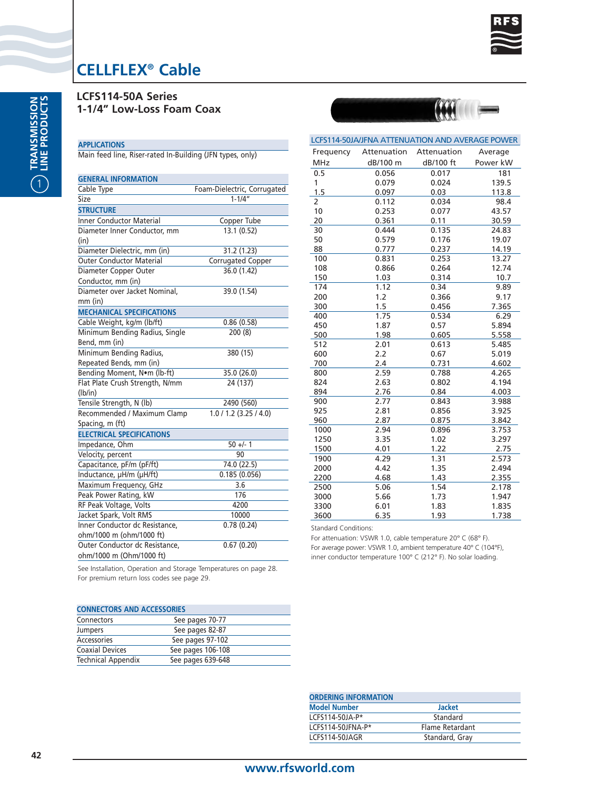

**ASKA** 

# **CELLFLEX® Cable**

**LCFS114-50A Series 1-1/4" Low-Loss Foam Coax**

### **APPLICATIONS**

Main feed line, Riser-rated In-Building (JFN types, only)

| <b>GENERAL INFORMATION</b>       |                             |
|----------------------------------|-----------------------------|
| Cable Type                       | Foam-Dielectric, Corrugated |
| Size                             | $1 - 1/4$                   |
| <b>STRUCTURE</b>                 |                             |
| <b>Inner Conductor Material</b>  | Copper Tube                 |
| Diameter Inner Conductor, mm     | 13.1 (0.52)                 |
| (in)                             |                             |
| Diameter Dielectric, mm (in)     | 31.2 (1.23)                 |
| <b>Outer Conductor Material</b>  | Corrugated Copper           |
| Diameter Copper Outer            | 36.0 (1.42)                 |
| Conductor, mm (in)               |                             |
| Diameter over Jacket Nominal,    | 39.0 (1.54)                 |
| mm (in)                          |                             |
| <b>MECHANICAL SPECIFICATIONS</b> |                             |
| Cable Weight, kg/m (lb/ft)       | 0.86(0.58)                  |
| Minimum Bending Radius, Single   | 200 (8)                     |
| Bend, mm (in)                    |                             |
| Minimum Bending Radius,          | 380 (15)                    |
| Repeated Bends, mm (in)          |                             |
| Bending Moment, Nom (lb-ft)      | 35.0 (26.0)                 |
| Flat Plate Crush Strength, N/mm  | 24 (137)                    |
| (lb/in)                          |                             |
| Tensile Strength, N (lb)         | 2490 (560)                  |
| Recommended / Maximum Clamp      | 1.0 / 1.2 (3.25 / 4.0)      |
| Spacing, m (ft)                  |                             |
| <b>ELECTRICAL SPECIFICATIONS</b> |                             |
| Impedance, Ohm                   | $50 +/- 1$                  |
| Velocity, percent                | 90                          |
| Capacitance, pF/m (pF/ft)        | 74.0 (22.5)                 |
| Inductance, µH/m (µH/ft)         | 0.185(0.056)                |
| Maximum Frequency, GHz           | 3.6                         |
| Peak Power Rating, kW            | 176                         |
| RF Peak Voltage, Volts           | 4200                        |
| Jacket Spark, Volt RMS           | 10000                       |
| Inner Conductor dc Resistance,   | 0.78(0.24)                  |
| ohm/1000 m (ohm/1000 ft)         |                             |
| Outer Conductor dc Resistance,   | 0.67(0.20)                  |
| ohm/1000 m (Ohm/1000 ft)         |                             |

|            | LCFS114-50JA/JFNA ATTENUATION AND AVERAGE POWER |             |          |
|------------|-------------------------------------------------|-------------|----------|
| Frequency  | Attenuation                                     | Attenuation | Average  |
| <b>MHz</b> | dB/100 m                                        | dB/100 ft   | Power kW |
| 0.5        | 0.056                                           | 0.017       | 181      |
| 1          | 0.079                                           | 0.024       | 139.5    |
| 1.5        | 0.097                                           | 0.03        | 113.8    |
| 2          | 0.112                                           | 0.034       | 98.4     |
| 10         | 0.253                                           | 0.077       | 43.57    |
| 20         | 0.361                                           | 0.11        | 30.59    |
| 30         | 0.444                                           | 0.135       | 24.83    |
| 50         | 0.579                                           | 0.176       | 19.07    |
| 88         | 0.777                                           | 0.237       | 14.19    |
| 100        | 0.831                                           | 0.253       | 13.27    |
| 108        | 0.866                                           | 0.264       | 12.74    |
| 150        | 1.03                                            | 0.314       | 10.7     |
| 174        | 1.12                                            | 0.34        | 9.89     |
| 200        | 1.2                                             | 0.366       | 9.17     |
| 300        | 1.5                                             | 0.456       | 7.365    |
| 400        | 1.75                                            | 0.534       | 6.29     |
| 450        | 1.87                                            | 0.57        | 5.894    |
| 500        | 1.98                                            | 0.605       | 5.558    |
| 512        | 2.01                                            | 0.613       | 5.485    |
| 600        | 2.2                                             | 0.67        | 5.019    |
| 700        | 2.4                                             | 0.731       | 4.602    |
| 800        | 2.59                                            | 0.788       | 4.265    |
| 824        | 2.63                                            | 0.802       | 4.194    |
| 894        | 2.76                                            | 0.84        | 4.003    |
| 900        | 2.77                                            | 0.843       | 3.988    |
| 925        | 2.81                                            | 0.856       | 3.925    |
| 960        | 2.87                                            | 0.875       | 3.842    |
| 1000       | 2.94                                            | 0.896       | 3.753    |
| 1250       | 3.35                                            | 1.02        | 3.297    |
| 1500       | 4.01                                            | 1.22        | 2.75     |
| 1900       | 4.29                                            | 1.31        | 2.573    |
| 2000       | 4.42                                            | 1.35        | 2.494    |
| 2200       | 4.68                                            | 1.43        | 2.355    |
| 2500       | 5.06                                            | 1.54        | 2.178    |
| 3000       | 5.66                                            | 1.73        | 1.947    |
| 3300       | 6.01                                            | 1.83        | 1.835    |
| 3600       | 6.35                                            | 1.93        | 1.738    |

Standard Conditions:

For attenuation: VSWR 1.0, cable temperature 20° C (68° F). For average power: VSWR 1.0, ambient temperature 40° C (104°F), inner conductor temperature 100° C (212° F). No solar loading.

| <b>CONNECTORS AND ACCESSORIES</b> |                   |  |
|-----------------------------------|-------------------|--|
| Connectors                        | See pages 70-77   |  |
| Jumpers                           | See pages 82-87   |  |
| Accessories                       | See pages 97-102  |  |
| <b>Coaxial Devices</b>            | See pages 106-108 |  |
| <b>Technical Appendix</b>         | See pages 639-648 |  |

| <b>ORDERING INFORMATION</b> |                 |
|-----------------------------|-----------------|
| <b>Model Number</b>         | <b>Jacket</b>   |
| $ICFS114-50IA-P*$           | Standard        |
| $ICFS114-50JFNA-P*$         | Flame Retardant |
| LCFS114-50JAGR              | Standard, Gray  |
|                             |                 |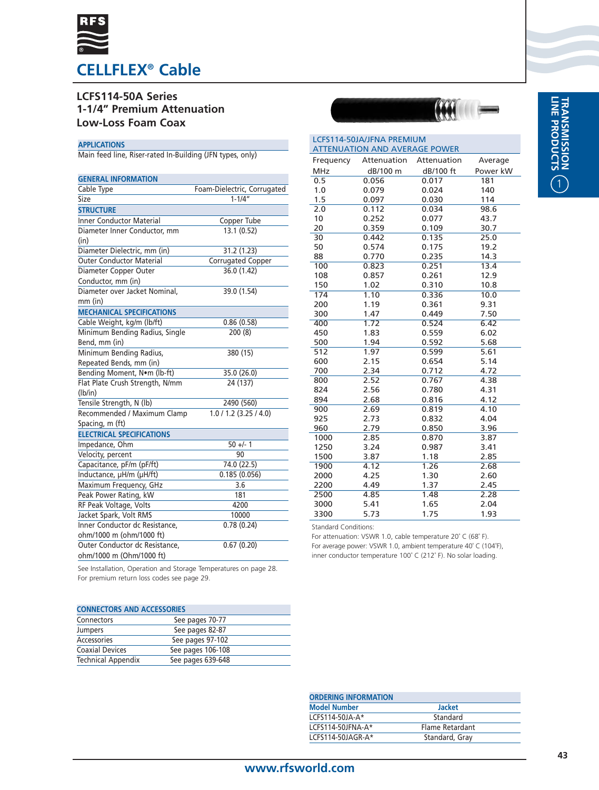

## **LCFS114-50A Series 1-1/4" Premium Attenuation Low-Loss Foam Coax**

### **APPLICATIONS**

Main feed line, Riser-rated In-Building (JFN types, only)

| <b>GENERAL INFORMATION</b>       |                             |
|----------------------------------|-----------------------------|
| Cable Type                       | Foam-Dielectric, Corrugated |
| Size                             | $1 - 1/4"$                  |
| <b>STRUCTURE</b>                 |                             |
| <b>Inner Conductor Material</b>  | Copper Tube                 |
| Diameter Inner Conductor, mm     | 13.1 (0.52)                 |
| (in)                             |                             |
| Diameter Dielectric, mm (in)     | 31.2 (1.23)                 |
| <b>Outer Conductor Material</b>  | <b>Corrugated Copper</b>    |
| Diameter Copper Outer            | 36.0 (1.42)                 |
| Conductor, mm (in)               |                             |
| Diameter over Jacket Nominal,    | 39.0 (1.54)                 |
| $mm$ (in)                        |                             |
| <b>MECHANICAL SPECIFICATIONS</b> |                             |
| Cable Weight, kg/m (lb/ft)       | 0.86(0.58)                  |
| Minimum Bending Radius, Single   | 200(8)                      |
| Bend, mm (in)                    |                             |
| Minimum Bending Radius,          | 380 (15)                    |
| Repeated Bends, mm (in)          |                             |
| Bending Moment, Nom (lb-ft)      | 35.0 (26.0)                 |
| Flat Plate Crush Strength, N/mm  | 24 (137)                    |
| (lb/in)                          |                             |
| Tensile Strength, N (lb)         | 2490 (560)                  |
| Recommended / Maximum Clamp      | 1.0 / 1.2 (3.25 / 4.0)      |
| Spacing, m (ft)                  |                             |
| <b>ELECTRICAL SPECIFICATIONS</b> |                             |
| Impedance, Ohm                   | $50 +/- 1$                  |
| Velocity, percent                | 90                          |
| Capacitance, pF/m (pF/ft)        | 74.0 (22.5)                 |
| Inductance, µH/m (µH/ft)         | 0.185(0.056)                |
| Maximum Frequency, GHz           | 3.6                         |
| Peak Power Rating, kW            | 181                         |
| RF Peak Voltage, Volts           | 4200                        |
| Jacket Spark, Volt RMS           | 10000                       |
| Inner Conductor dc Resistance,   | 0.78(0.24)                  |
| ohm/1000 m (ohm/1000 ft)         |                             |
| Outer Conductor dc Resistance,   | 0.67(0.20)                  |
| ohm/1000 m (Ohm/1000 ft)         |                             |

| LCFS114-50JA/JFNA PREMIUM<br><b>ATTENUATION AND AVERAGE POWER</b> |             |             |          |
|-------------------------------------------------------------------|-------------|-------------|----------|
| Frequency                                                         | Attenuation | Attenuation | Average  |
| <b>MHz</b>                                                        | dB/100 m    | dB/100 ft   | Power kW |
| 0.5                                                               | 0.056       | 0.017       | 181      |
| 1.0                                                               | 0.079       | 0.024       | 140      |
| 1.5                                                               | 0.097       | 0.030       | 114      |
| 2.0                                                               | 0.112       | 0.034       | 98.6     |
| 10                                                                | 0.252       | 0.077       | 43.7     |
| 20                                                                | 0.359       | 0.109       | 30.7     |
| 30                                                                | 0.442       | 0.135       | 25.0     |
| 50                                                                | 0.574       | 0.175       | 19.2     |
| 88                                                                | 0.770       | 0.235       | 14.3     |
| 100                                                               | 0.823       | 0.251       | 13.4     |
| 108                                                               | 0.857       | 0.261       | 12.9     |
| 150                                                               | 1.02        | 0.310       | 10.8     |
| 174                                                               | 1.10        | 0.336       | 10.0     |
| 200                                                               | 1.19        | 0.361       | 9.31     |
| 300                                                               | 1.47        | 0.449       | 7.50     |
| 400                                                               | 1.72        | 0.524       | 6.42     |
| 450                                                               | 1.83        | 0.559       | 6.02     |
| 500                                                               | 1.94        | 0.592       | 5.68     |
| 512                                                               | 1.97        | 0.599       | 5.61     |
| 600                                                               | 2.15        | 0.654       | 5.14     |
| 700                                                               | 2.34        | 0.712       | 4.72     |
| 800                                                               | 2.52        | 0.767       | 4.38     |
| 824                                                               | 2.56        | 0.780       | 4.31     |
| 894                                                               | 2.68        | 0.816       | 4.12     |
| 900                                                               | 2.69        | 0.819       | 4.10     |
| 925                                                               | 2.73        | 0.832       | 4.04     |
| 960                                                               | 2.79        | 0.850       | 3.96     |
| 1000                                                              | 2.85        | 0.870       | 3.87     |
| 1250                                                              | 3.24        | 0.987       | 3.41     |
| 1500                                                              | 3.87        | 1.18        | 2.85     |
| 1900                                                              | 4.12        | 1.26        | 2.68     |
| 2000                                                              | 4.25        | 1.30        | 2.60     |
| 2200                                                              | 4.49        | 1.37        | 2.45     |
| 2500                                                              | 4.85        | 1.48        | 2.28     |
| 3000                                                              | 5.41        | 1.65        | 2.04     |
| 3300                                                              | 5.73        | 1.75        | 1.93     |

Standard Conditions:

For attenuation: VSWR 1.0, cable temperature 20˚ C (68˚ F). For average power: VSWR 1.0, ambient temperature 40˚ C (104˚F), inner conductor temperature 100˚ C (212˚ F). No solar loading.

| <b>CONNECTORS AND ACCESSORIES</b> |                   |  |
|-----------------------------------|-------------------|--|
| Connectors                        | See pages 70-77   |  |
| <b>Jumpers</b>                    | See pages 82-87   |  |
| Accessories                       | See pages 97-102  |  |
| <b>Coaxial Devices</b>            | See pages 106-108 |  |
| <b>Technical Appendix</b>         | See pages 639-648 |  |

| <b>Jacket</b>   |  |
|-----------------|--|
| Standard        |  |
| Flame Retardant |  |
| Standard, Gray  |  |
|                 |  |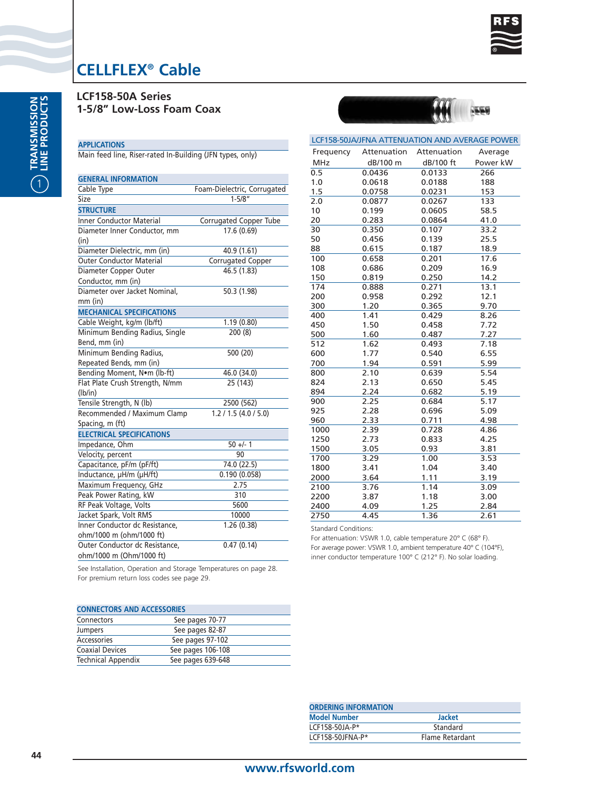

**LCF158-50A Series 1-5/8" Low-Loss Foam Coax**

#### **APPLICATIONS** Main feed line, Riser-rated In-Building (JFN types, only)

**GENERAL INFORMATION** Cable Type Foam-Dielectric, Corrugated Size 1-5/8" **STRUCTURE** Inner Conductor Material Corrugated Copper Tube Diameter Inner Conductor, mm 17.6 (0.69) (in) Diameter Dielectric, mm (in) 40.9 (1.61)<br>
Outer Conductor Material Corrugated Copper **Outer Conductor Material** Diameter Copper Outer 46.5 (1.83) Conductor, mm (in) Diameter over Jacket Nominal, 50.3 (1.98) mm (in) **MECHANICAL SPECIFICATIONS** Cable Weight, kg/m (lb/ft) 1.19 (0.80) Minimum Bending Radius, Single 200 (8) Bend, mm (in) Minimum Bending Radius, 500 (20) Repeated Bends, mm (in) Bending Moment, N•m (lb-ft) 46.0 (34.0) Flat Plate Crush Strength, N/mm 25 (143) (lb/in) Tensile Strength, N (lb) 2500 (562) Recommended / Maximum Clamp 1.2 / 1.5 (4.0 / 5.0) Spacing, m (ft) **ELECTRICAL SPECIFICATIONS** Impedance, Ohm 50 +/- 1 Velocity, percent 90 Capacitance, pF/m (pF/ft) 74.0 (22.5) Inductance, µH/m (µH/ft) 0.190 (0.058) Maximum Frequency, GHz 2.75 Peak Power Rating, kW 310 RF Peak Voltage, Volts 5600 Jacket Spark, Volt RMS 10000 Inner Conductor dc Resistance, 1.26 (0.38) ohm/1000 m (ohm/1000 ft) Outer Conductor dc Resistance, 0.47 (0.14) ohm/1000 m (Ohm/1000 ft)

| LCF158-50JA/JFNA ATTENUATION AND AVERAGE POWER |             |             |          |  |
|------------------------------------------------|-------------|-------------|----------|--|
| Frequency                                      | Attenuation | Attenuation | Average  |  |
| <b>MHz</b>                                     | dB/100 m    | dB/100 ft   | Power kW |  |
| 0.5                                            | 0.0436      | 0.0133      | 266      |  |
| 1.0                                            | 0.0618      | 0.0188      | 188      |  |
| 1.5                                            | 0.0758      | 0.0231      | 153      |  |
| 2.0                                            | 0.0877      | 0.0267      | 133      |  |
| 10                                             | 0.199       | 0.0605      | 58.5     |  |
| 20                                             | 0.283       | 0.0864      | 41.0     |  |
| 30                                             | 0.350       | 0.107       | 33.2     |  |
| 50                                             | 0.456       | 0.139       | 25.5     |  |
| 88                                             | 0.615       | 0.187       | 18.9     |  |
| 100                                            | 0.658       | 0.201       | 17.6     |  |
| 108                                            | 0.686       | 0.209       | 16.9     |  |
| 150                                            | 0.819       | 0.250       | 14.2     |  |
| 174                                            | 0.888       | 0.271       | 13.1     |  |
| 200                                            | 0.958       | 0.292       | 12.1     |  |
| 300                                            | 1.20        | 0.365       | 9.70     |  |
| 400                                            | 1.41        | 0.429       | 8.26     |  |
| 450                                            | 1.50        | 0.458       | 7.72     |  |
| 500                                            | 1.60        | 0.487       | 7.27     |  |
| 512                                            | 1.62        | 0.493       | 7.18     |  |
| 600                                            | 1.77        | 0.540       | 6.55     |  |
| 700                                            | 1.94        | 0.591       | 5.99     |  |
| 800                                            | 2.10        | 0.639       | 5.54     |  |
| 824                                            | 2.13        | 0.650       | 5.45     |  |
| 894                                            | 2.24        | 0.682       | 5.19     |  |
| 900                                            | 2.25        | 0.684       | 5.17     |  |
| 925                                            | 2.28        | 0.696       | 5.09     |  |
| 960                                            | 2.33        | 0.711       | 4.98     |  |
| 1000                                           | 2.39        | 0.728       | 4.86     |  |
| 1250                                           | 2.73        | 0.833       | 4.25     |  |
| 1500                                           | 3.05        | 0.93        | 3.81     |  |
| 1700                                           | 3.29        | 1.00        | 3.53     |  |
| 1800                                           | 3.41        | 1.04        | 3.40     |  |
| 2000                                           | 3.64        | 1.11        | 3.19     |  |
| 2100                                           | 3.76        | 1.14        | 3.09     |  |
| 2200                                           | 3.87        | 1.18        | 3.00     |  |
| 2400                                           | 4.09        | 1.25        | 2.84     |  |
| 2750                                           | 4.45        | 1.36        | 2.61     |  |

Standard Conditions:

For attenuation: VSWR 1.0, cable temperature 20° C (68° F). For average power: VSWR 1.0, ambient temperature 40° C (104°F), inner conductor temperature 100° C (212° F). No solar loading.

| <b>CONNECTORS AND ACCESSORIES</b> |                   |  |
|-----------------------------------|-------------------|--|
| Connectors                        | See pages 70-77   |  |
| Jumpers                           | See pages 82-87   |  |
| Accessories                       | See pages 97-102  |  |
| <b>Coaxial Devices</b>            | See pages 106-108 |  |
| <b>Technical Appendix</b>         | See pages 639-648 |  |

| <b>Jacket</b>   |  |
|-----------------|--|
| Standard        |  |
| Flame Retardant |  |
|                 |  |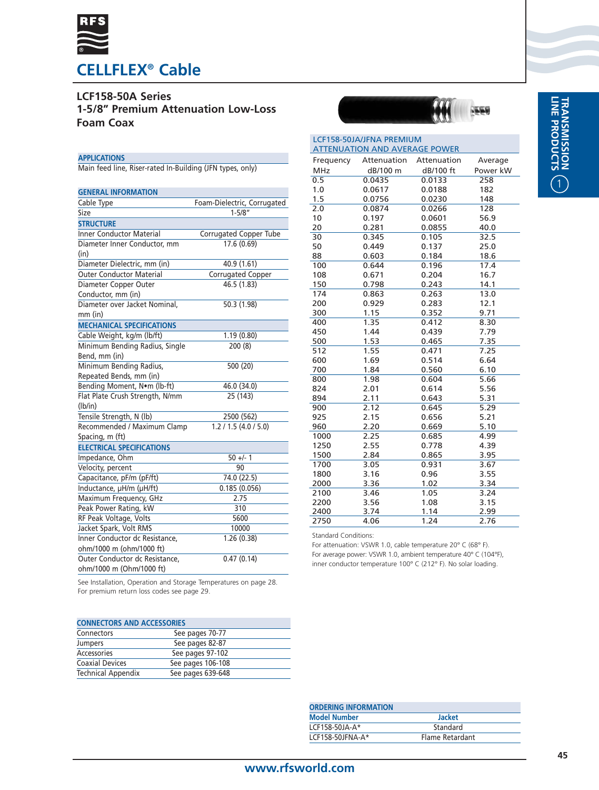

**LCF158-50A Series 1-5/8" Premium Attenuation Low-Loss Foam Coax**

### **APPLICATIONS**

Main feed line, Riser-rated In-Building (JFN types, only)

| <b>GENERAL INFORMATION</b>       |                             |
|----------------------------------|-----------------------------|
| Cable Type                       | Foam-Dielectric, Corrugated |
| Size                             | $1 - 5/8"$                  |
| <b>STRUCTURE</b>                 |                             |
| <b>Inner Conductor Material</b>  | Corrugated Copper Tube      |
| Diameter Inner Conductor, mm     | 17.6(0.69)                  |
| (in)                             |                             |
| Diameter Dielectric, mm (in)     | 40.9 (1.61)                 |
| <b>Outer Conductor Material</b>  | Corrugated Copper           |
| Diameter Copper Outer            | 46.5 (1.83)                 |
| Conductor, mm (in)               |                             |
| Diameter over Jacket Nominal,    | 50.3 (1.98)                 |
| mm (in)                          |                             |
| <b>MECHANICAL SPECIFICATIONS</b> |                             |
| Cable Weight, kg/m (lb/ft)       | 1.19(0.80)                  |
| Minimum Bending Radius, Single   | 200(8)                      |
| Bend, mm (in)                    |                             |
| Minimum Bending Radius,          | 500 (20)                    |
| Repeated Bends, mm (in)          |                             |
| Bending Moment, Nom (lb-ft)      | 46.0(34.0)                  |
| Flat Plate Crush Strength, N/mm  | 25 (143)                    |
| (lb/in)                          |                             |
| Tensile Strength, N (lb)         | 2500 (562)                  |
| Recommended / Maximum Clamp      | 1.2 / 1.5 (4.0 / 5.0)       |
| Spacing, m (ft)                  |                             |
| <b>ELECTRICAL SPECIFICATIONS</b> |                             |
| Impedance, Ohm                   | $50 +/- 1$                  |
| Velocity, percent                | 90                          |
| Capacitance, pF/m (pF/ft)        | 74.0 (22.5)                 |
| Inductance, µH/m (µH/ft)         | 0.185(0.056)                |
| Maximum Frequency, GHz           | 2.75                        |
| Peak Power Rating, kW            | 310                         |
| RF Peak Voltage, Volts           | 5600                        |
| Jacket Spark, Volt RMS           | 10000                       |
| Inner Conductor dc Resistance,   | 1.26(0.38)                  |
| ohm/1000 m (ohm/1000 ft)         |                             |
| Outer Conductor dc Resistance,   | 0.47(0.14)                  |
| ohm/1000 m (Ohm/1000 ft)         |                             |

| <b>ATTENUATION AND AVERAGE POWER</b><br>Attenuation<br>Frequency<br>Attenuation<br>Average<br><b>MHz</b><br>dB/100 m<br>dB/100 ft<br>Power kW<br>0.5<br>0.0435<br>0.0133<br>258<br>0.0617<br>182<br>1.0<br>0.0188<br>1.5<br>0.0756<br>0.0230<br>148<br>0.0874<br>0.0266<br>128<br>2.0<br>10<br>0.197<br>56.9<br>0.0601<br>20<br>0.281<br>0.0855<br>40.0<br>0.345<br>0.105<br>32.5<br>30<br>50<br>0.449<br>0.137<br>25.0<br>88<br>0.603<br>0.184<br>18.6<br>100<br>0.644<br>0.196<br>17.4<br>108<br>16.7<br>0.671<br>0.204<br>150<br>0.798<br>0.243<br>14.1<br>174<br>0.863<br>0.263<br>13.0<br>12.1<br>200<br>0.929<br>0.283<br>300<br>1.15<br>0.352<br>9.71<br>1.35<br>0.412<br>400<br>8.30<br>7.79<br>450<br>1.44<br>0.439<br>500<br>1.53<br>7.35<br>0.465<br>1.55<br>512<br>0.471<br>7.25<br>600<br>1.69<br>0.514<br>6.64<br>700<br>1.84<br>6.10<br>0.560<br>800<br>1.98<br>0.604<br>5.66<br>824<br>2.01<br>5.56<br>0.614<br>894<br>2.11<br>5.31<br>0.643<br>2.12<br>5.29<br>900<br>0.645<br>2.15<br>5.21<br>925<br>0.656<br>2.20<br>960<br>5.10<br>0.669<br>1000<br>2.25<br>0.685<br>4.99<br>1250<br>2.55<br>4.39<br>0.778<br>1500<br>2.84<br>0.865<br>3.95<br>1700<br>3.05<br>0.931<br>3.67<br>3.55<br>1800<br>3.16<br>0.96<br>3.34<br>3.36<br>2000<br>1.02<br>3.24<br>2100<br>3.46<br>1.05 | LCF158-50JA/JFNA PREMIUM |  |  |  |
|--------------------------------------------------------------------------------------------------------------------------------------------------------------------------------------------------------------------------------------------------------------------------------------------------------------------------------------------------------------------------------------------------------------------------------------------------------------------------------------------------------------------------------------------------------------------------------------------------------------------------------------------------------------------------------------------------------------------------------------------------------------------------------------------------------------------------------------------------------------------------------------------------------------------------------------------------------------------------------------------------------------------------------------------------------------------------------------------------------------------------------------------------------------------------------------------------------------------------------------------------------------------------------------------------|--------------------------|--|--|--|
|                                                                                                                                                                                                                                                                                                                                                                                                                                                                                                                                                                                                                                                                                                                                                                                                                                                                                                                                                                                                                                                                                                                                                                                                                                                                                                  |                          |  |  |  |
|                                                                                                                                                                                                                                                                                                                                                                                                                                                                                                                                                                                                                                                                                                                                                                                                                                                                                                                                                                                                                                                                                                                                                                                                                                                                                                  |                          |  |  |  |
|                                                                                                                                                                                                                                                                                                                                                                                                                                                                                                                                                                                                                                                                                                                                                                                                                                                                                                                                                                                                                                                                                                                                                                                                                                                                                                  |                          |  |  |  |
|                                                                                                                                                                                                                                                                                                                                                                                                                                                                                                                                                                                                                                                                                                                                                                                                                                                                                                                                                                                                                                                                                                                                                                                                                                                                                                  |                          |  |  |  |
|                                                                                                                                                                                                                                                                                                                                                                                                                                                                                                                                                                                                                                                                                                                                                                                                                                                                                                                                                                                                                                                                                                                                                                                                                                                                                                  |                          |  |  |  |
|                                                                                                                                                                                                                                                                                                                                                                                                                                                                                                                                                                                                                                                                                                                                                                                                                                                                                                                                                                                                                                                                                                                                                                                                                                                                                                  |                          |  |  |  |
|                                                                                                                                                                                                                                                                                                                                                                                                                                                                                                                                                                                                                                                                                                                                                                                                                                                                                                                                                                                                                                                                                                                                                                                                                                                                                                  |                          |  |  |  |
|                                                                                                                                                                                                                                                                                                                                                                                                                                                                                                                                                                                                                                                                                                                                                                                                                                                                                                                                                                                                                                                                                                                                                                                                                                                                                                  |                          |  |  |  |
|                                                                                                                                                                                                                                                                                                                                                                                                                                                                                                                                                                                                                                                                                                                                                                                                                                                                                                                                                                                                                                                                                                                                                                                                                                                                                                  |                          |  |  |  |
|                                                                                                                                                                                                                                                                                                                                                                                                                                                                                                                                                                                                                                                                                                                                                                                                                                                                                                                                                                                                                                                                                                                                                                                                                                                                                                  |                          |  |  |  |
|                                                                                                                                                                                                                                                                                                                                                                                                                                                                                                                                                                                                                                                                                                                                                                                                                                                                                                                                                                                                                                                                                                                                                                                                                                                                                                  |                          |  |  |  |
|                                                                                                                                                                                                                                                                                                                                                                                                                                                                                                                                                                                                                                                                                                                                                                                                                                                                                                                                                                                                                                                                                                                                                                                                                                                                                                  |                          |  |  |  |
|                                                                                                                                                                                                                                                                                                                                                                                                                                                                                                                                                                                                                                                                                                                                                                                                                                                                                                                                                                                                                                                                                                                                                                                                                                                                                                  |                          |  |  |  |
|                                                                                                                                                                                                                                                                                                                                                                                                                                                                                                                                                                                                                                                                                                                                                                                                                                                                                                                                                                                                                                                                                                                                                                                                                                                                                                  |                          |  |  |  |
|                                                                                                                                                                                                                                                                                                                                                                                                                                                                                                                                                                                                                                                                                                                                                                                                                                                                                                                                                                                                                                                                                                                                                                                                                                                                                                  |                          |  |  |  |
|                                                                                                                                                                                                                                                                                                                                                                                                                                                                                                                                                                                                                                                                                                                                                                                                                                                                                                                                                                                                                                                                                                                                                                                                                                                                                                  |                          |  |  |  |
|                                                                                                                                                                                                                                                                                                                                                                                                                                                                                                                                                                                                                                                                                                                                                                                                                                                                                                                                                                                                                                                                                                                                                                                                                                                                                                  |                          |  |  |  |
|                                                                                                                                                                                                                                                                                                                                                                                                                                                                                                                                                                                                                                                                                                                                                                                                                                                                                                                                                                                                                                                                                                                                                                                                                                                                                                  |                          |  |  |  |
|                                                                                                                                                                                                                                                                                                                                                                                                                                                                                                                                                                                                                                                                                                                                                                                                                                                                                                                                                                                                                                                                                                                                                                                                                                                                                                  |                          |  |  |  |
|                                                                                                                                                                                                                                                                                                                                                                                                                                                                                                                                                                                                                                                                                                                                                                                                                                                                                                                                                                                                                                                                                                                                                                                                                                                                                                  |                          |  |  |  |
|                                                                                                                                                                                                                                                                                                                                                                                                                                                                                                                                                                                                                                                                                                                                                                                                                                                                                                                                                                                                                                                                                                                                                                                                                                                                                                  |                          |  |  |  |
|                                                                                                                                                                                                                                                                                                                                                                                                                                                                                                                                                                                                                                                                                                                                                                                                                                                                                                                                                                                                                                                                                                                                                                                                                                                                                                  |                          |  |  |  |
|                                                                                                                                                                                                                                                                                                                                                                                                                                                                                                                                                                                                                                                                                                                                                                                                                                                                                                                                                                                                                                                                                                                                                                                                                                                                                                  |                          |  |  |  |
|                                                                                                                                                                                                                                                                                                                                                                                                                                                                                                                                                                                                                                                                                                                                                                                                                                                                                                                                                                                                                                                                                                                                                                                                                                                                                                  |                          |  |  |  |
|                                                                                                                                                                                                                                                                                                                                                                                                                                                                                                                                                                                                                                                                                                                                                                                                                                                                                                                                                                                                                                                                                                                                                                                                                                                                                                  |                          |  |  |  |
|                                                                                                                                                                                                                                                                                                                                                                                                                                                                                                                                                                                                                                                                                                                                                                                                                                                                                                                                                                                                                                                                                                                                                                                                                                                                                                  |                          |  |  |  |
|                                                                                                                                                                                                                                                                                                                                                                                                                                                                                                                                                                                                                                                                                                                                                                                                                                                                                                                                                                                                                                                                                                                                                                                                                                                                                                  |                          |  |  |  |
|                                                                                                                                                                                                                                                                                                                                                                                                                                                                                                                                                                                                                                                                                                                                                                                                                                                                                                                                                                                                                                                                                                                                                                                                                                                                                                  |                          |  |  |  |
|                                                                                                                                                                                                                                                                                                                                                                                                                                                                                                                                                                                                                                                                                                                                                                                                                                                                                                                                                                                                                                                                                                                                                                                                                                                                                                  |                          |  |  |  |
|                                                                                                                                                                                                                                                                                                                                                                                                                                                                                                                                                                                                                                                                                                                                                                                                                                                                                                                                                                                                                                                                                                                                                                                                                                                                                                  |                          |  |  |  |
|                                                                                                                                                                                                                                                                                                                                                                                                                                                                                                                                                                                                                                                                                                                                                                                                                                                                                                                                                                                                                                                                                                                                                                                                                                                                                                  |                          |  |  |  |
|                                                                                                                                                                                                                                                                                                                                                                                                                                                                                                                                                                                                                                                                                                                                                                                                                                                                                                                                                                                                                                                                                                                                                                                                                                                                                                  |                          |  |  |  |
|                                                                                                                                                                                                                                                                                                                                                                                                                                                                                                                                                                                                                                                                                                                                                                                                                                                                                                                                                                                                                                                                                                                                                                                                                                                                                                  |                          |  |  |  |
|                                                                                                                                                                                                                                                                                                                                                                                                                                                                                                                                                                                                                                                                                                                                                                                                                                                                                                                                                                                                                                                                                                                                                                                                                                                                                                  |                          |  |  |  |
|                                                                                                                                                                                                                                                                                                                                                                                                                                                                                                                                                                                                                                                                                                                                                                                                                                                                                                                                                                                                                                                                                                                                                                                                                                                                                                  |                          |  |  |  |
|                                                                                                                                                                                                                                                                                                                                                                                                                                                                                                                                                                                                                                                                                                                                                                                                                                                                                                                                                                                                                                                                                                                                                                                                                                                                                                  |                          |  |  |  |
| 2200<br>3.56<br>1.08<br>3.15                                                                                                                                                                                                                                                                                                                                                                                                                                                                                                                                                                                                                                                                                                                                                                                                                                                                                                                                                                                                                                                                                                                                                                                                                                                                     |                          |  |  |  |
| 2400<br>3.74<br>1.14<br>2.99                                                                                                                                                                                                                                                                                                                                                                                                                                                                                                                                                                                                                                                                                                                                                                                                                                                                                                                                                                                                                                                                                                                                                                                                                                                                     |                          |  |  |  |
| 2750<br>1.24<br>2.76<br>4.06                                                                                                                                                                                                                                                                                                                                                                                                                                                                                                                                                                                                                                                                                                                                                                                                                                                                                                                                                                                                                                                                                                                                                                                                                                                                     |                          |  |  |  |

Standard Conditions:

For attenuation: VSWR 1.0, cable temperature 20° C (68° F). For average power: VSWR 1.0, ambient temperature 40° C (104°F), inner conductor temperature 100° C (212° F). No solar loading.

See Installation, Operation and Storage Temperatures on page 28. For premium return loss codes see page 29.

### **CONNECTORS AND ACCESSORIES**

| See pages 70-77   |  |
|-------------------|--|
| See pages 82-87   |  |
| See pages 97-102  |  |
| See pages 106-108 |  |
| See pages 639-648 |  |
|                   |  |

| <b>ORDERING INFORMATION</b> |                 |
|-----------------------------|-----------------|
| <b>Model Number</b>         | <b>Jacket</b>   |
| LCF158-50JA-A*              | Standard        |
| LCF158-50JFNA-A*            | Flame Retardant |
|                             |                 |